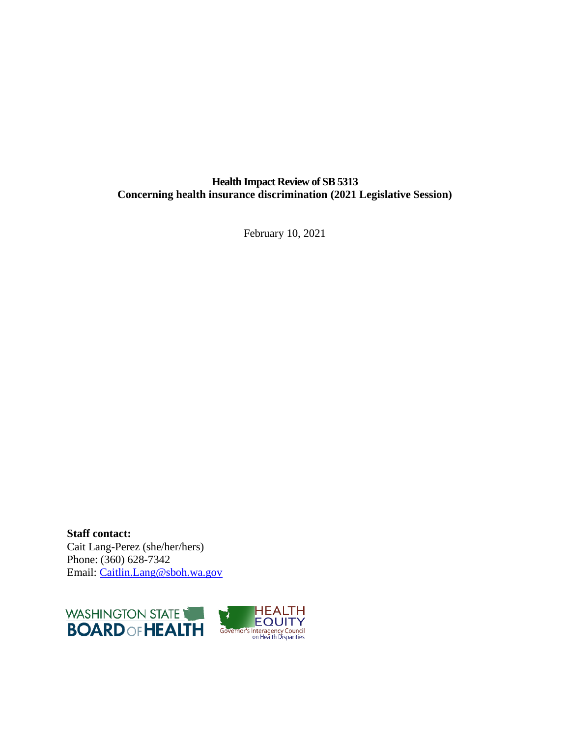## **Health Impact Review of SB 5313 Concerning health insurance discrimination (2021 Legislative Session)**

February 10, 2021

**Staff contact:** Cait Lang-Perez (she/her/hers) Phone: (360) 628-7342 Email: [Caitlin.Lang@sboh.wa.gov](mailto:Caitlin.Lang@sboh.wa.gov)

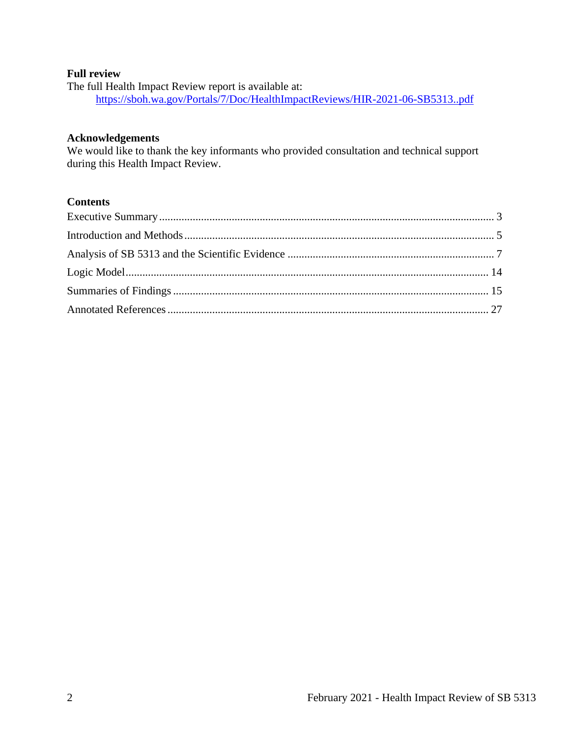#### **Full review**

The full Health Impact Review report is available at: <https://sboh.wa.gov/Portals/7/Doc/HealthImpactReviews/HIR-2021-06-SB5313..pdf>

## **Acknowledgements**

We would like to thank the key informants who provided consultation and technical support during this Health Impact Review.

## **Contents**

<span id="page-1-0"></span>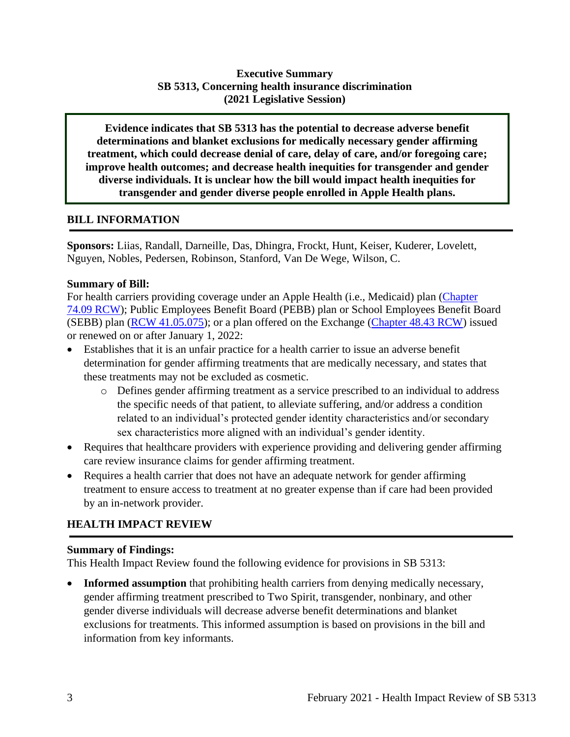## **Executive Summary SB 5313, Concerning health insurance discrimination (2021 Legislative Session)**

**Evidence indicates that SB 5313 has the potential to decrease adverse benefit determinations and blanket exclusions for medically necessary gender affirming treatment, which could decrease denial of care, delay of care, and/or foregoing care; improve health outcomes; and decrease health inequities for transgender and gender diverse individuals. It is unclear how the bill would impact health inequities for transgender and gender diverse people enrolled in Apple Health plans.** 

### **BILL INFORMATION**

**Sponsors:** Liias, Randall, Darneille, Das, Dhingra, Frockt, Hunt, Keiser, Kuderer, Lovelett, Nguyen, Nobles, Pedersen, Robinson, Stanford, Van De Wege, Wilson, C.

### **Summary of Bill:**

For health carriers providing coverage under an Apple Health (i.e., Medicaid) plan [\(Chapter](https://app.leg.wa.gov/RCW/default.aspx?cite=74.09&full=true)  [74.09 RCW\)](https://app.leg.wa.gov/RCW/default.aspx?cite=74.09&full=true); Public Employees Benefit Board (PEBB) plan or School Employees Benefit Board (SEBB) plan [\(RCW 41.05.075\)](https://app.leg.wa.gov/rcw/default.aspx?cite=41.05.075); or a plan offered on the Exchange [\(Chapter 48.43 RCW\)](http://lawfilesext.leg.wa.gov/biennium/2021-22/Pdf/Bills/Senate%20Bills/5313.pdf?q=20210201134448) issued or renewed on or after January 1, 2022:

- Establishes that it is an unfair practice for a health carrier to issue an adverse benefit determination for gender affirming treatments that are medically necessary, and states that these treatments may not be excluded as cosmetic.
	- o Defines gender affirming treatment as a service prescribed to an individual to address the specific needs of that patient, to alleviate suffering, and/or address a condition related to an individual's protected gender identity characteristics and/or secondary sex characteristics more aligned with an individual's gender identity.
- Requires that healthcare providers with experience providing and delivering gender affirming care review insurance claims for gender affirming treatment.
- Requires a health carrier that does not have an adequate network for gender affirming treatment to ensure access to treatment at no greater expense than if care had been provided by an in-network provider.

# **HEALTH IMPACT REVIEW**

## **Summary of Findings:**

This Health Impact Review found the following evidence for provisions in SB 5313:

• **Informed assumption** that prohibiting health carriers from denying medically necessary, gender affirming treatment prescribed to Two Spirit, transgender, nonbinary, and other gender diverse individuals will decrease adverse benefit determinations and blanket exclusions for treatments. This informed assumption is based on provisions in the bill and information from key informants.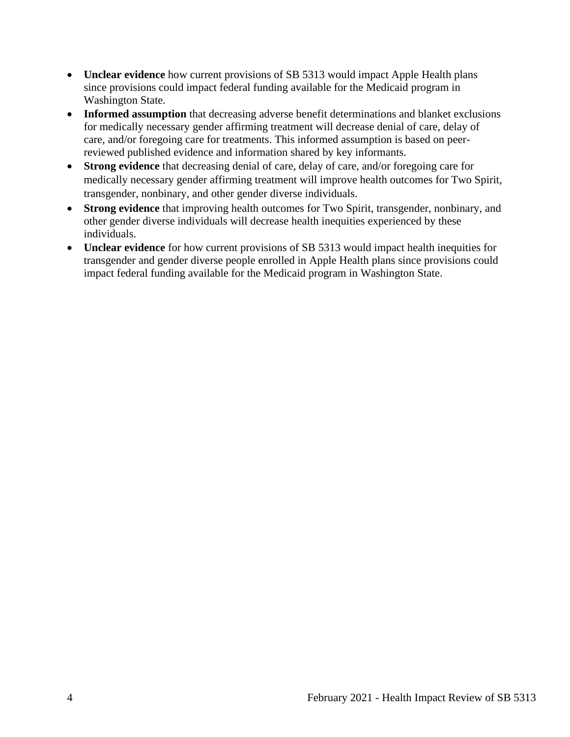- **Unclear evidence** how current provisions of SB 5313 would impact Apple Health plans since provisions could impact federal funding available for the Medicaid program in Washington State.
- **Informed assumption** that decreasing adverse benefit determinations and blanket exclusions for medically necessary gender affirming treatment will decrease denial of care, delay of care, and/or foregoing care for treatments. This informed assumption is based on peerreviewed published evidence and information shared by key informants.
- **Strong evidence** that decreasing denial of care, delay of care, and/or foregoing care for medically necessary gender affirming treatment will improve health outcomes for Two Spirit, transgender, nonbinary, and other gender diverse individuals.
- **Strong evidence** that improving health outcomes for Two Spirit, transgender, nonbinary, and other gender diverse individuals will decrease health inequities experienced by these individuals.
- **Unclear evidence** for how current provisions of SB 5313 would impact health inequities for transgender and gender diverse people enrolled in Apple Health plans since provisions could impact federal funding available for the Medicaid program in Washington State.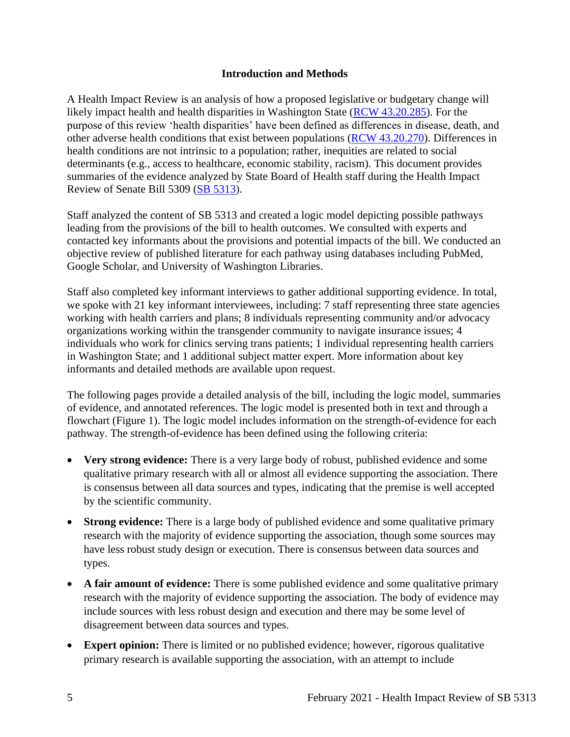### **Introduction and Methods**

<span id="page-4-0"></span>A Health Impact Review is an analysis of how a proposed legislative or budgetary change will likely impact health and health disparities in Washington State [\(RCW 43.20.285\)](http://apps.leg.wa.gov/rcw/default.aspx?cite=43.20.285). For the purpose of this review 'health disparities' have been defined as differences in disease, death, and other adverse health conditions that exist between populations [\(RCW 43.20.270\)](http://apps.leg.wa.gov/rcw/default.aspx?cite=43.20.270). Differences in health conditions are not intrinsic to a population; rather, inequities are related to social determinants (e.g., access to healthcare, economic stability, racism). This document provides summaries of the evidence analyzed by State Board of Health staff during the Health Impact Review of Senate Bill 5309 [\(SB 5313\)](https://app.leg.wa.gov/billsummary?BillNumber=5313&Year=2021&Initiative=false).

Staff analyzed the content of SB 5313 and created a logic model depicting possible pathways leading from the provisions of the bill to health outcomes. We consulted with experts and contacted key informants about the provisions and potential impacts of the bill. We conducted an objective review of published literature for each pathway using databases including PubMed, Google Scholar, and University of Washington Libraries.

Staff also completed key informant interviews to gather additional supporting evidence. In total, we spoke with 21 key informant interviewees, including: 7 staff representing three state agencies working with health carriers and plans; 8 individuals representing community and/or advocacy organizations working within the transgender community to navigate insurance issues; 4 individuals who work for clinics serving trans patients; 1 individual representing health carriers in Washington State; and 1 additional subject matter expert. More information about key informants and detailed methods are available upon request.

The following pages provide a detailed analysis of the bill, including the logic model, summaries of evidence, and annotated references. The logic model is presented both in text and through a flowchart (Figure 1). The logic model includes information on the strength-of-evidence for each pathway. The strength-of-evidence has been defined using the following criteria:

- **Very strong evidence:** There is a very large body of robust, published evidence and some qualitative primary research with all or almost all evidence supporting the association. There is consensus between all data sources and types, indicating that the premise is well accepted by the scientific community.
- **Strong evidence:** There is a large body of published evidence and some qualitative primary research with the majority of evidence supporting the association, though some sources may have less robust study design or execution. There is consensus between data sources and types.
- A fair amount of evidence: There is some published evidence and some qualitative primary research with the majority of evidence supporting the association. The body of evidence may include sources with less robust design and execution and there may be some level of disagreement between data sources and types.
- **Expert opinion:** There is limited or no published evidence; however, rigorous qualitative primary research is available supporting the association, with an attempt to include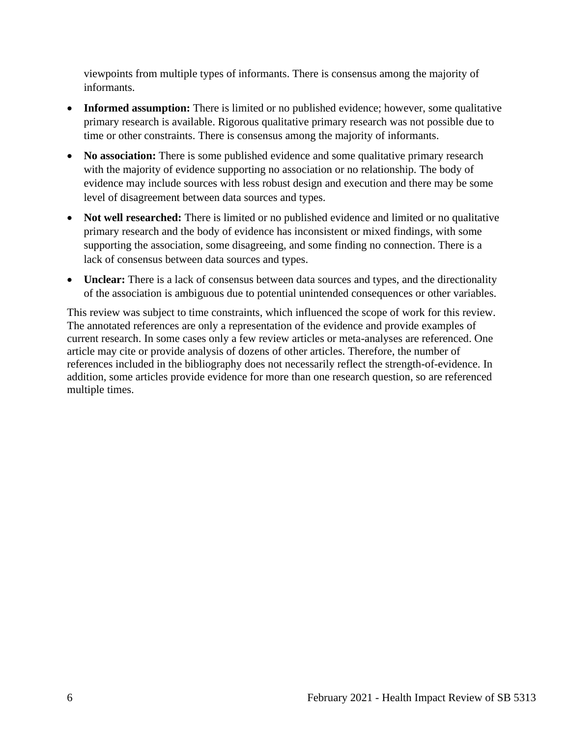viewpoints from multiple types of informants. There is consensus among the majority of informants.

- **Informed assumption:** There is limited or no published evidence; however, some qualitative primary research is available. Rigorous qualitative primary research was not possible due to time or other constraints. There is consensus among the majority of informants.
- **No association:** There is some published evidence and some qualitative primary research with the majority of evidence supporting no association or no relationship. The body of evidence may include sources with less robust design and execution and there may be some level of disagreement between data sources and types.
- **Not well researched:** There is limited or no published evidence and limited or no qualitative primary research and the body of evidence has inconsistent or mixed findings, with some supporting the association, some disagreeing, and some finding no connection. There is a lack of consensus between data sources and types.
- **Unclear:** There is a lack of consensus between data sources and types, and the directionality of the association is ambiguous due to potential unintended consequences or other variables.

This review was subject to time constraints, which influenced the scope of work for this review. The annotated references are only a representation of the evidence and provide examples of current research. In some cases only a few review articles or meta-analyses are referenced. One article may cite or provide analysis of dozens of other articles. Therefore, the number of references included in the bibliography does not necessarily reflect the strength-of-evidence. In addition, some articles provide evidence for more than one research question, so are referenced multiple times.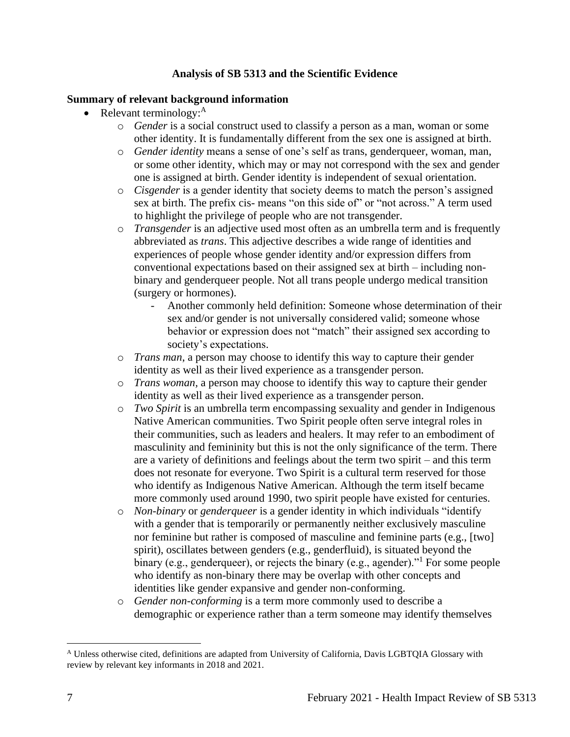## **Analysis of SB 5313 and the Scientific Evidence**

### <span id="page-6-0"></span>**Summary of relevant background information**

- Relevant terminology: $A$ 
	- o *Gender* is a social construct used to classify a person as a man, woman or some other identity. It is fundamentally different from the sex one is assigned at birth.
	- o *Gender identity* means a sense of one's self as trans, genderqueer, woman, man, or some other identity, which may or may not correspond with the sex and gender one is assigned at birth. Gender identity is independent of sexual orientation.
	- o *Cisgender* is a gender identity that society deems to match the person's assigned sex at birth. The prefix cis- means "on this side of" or "not across." A term used to highlight the privilege of people who are not transgender.
	- o *Transgender* is an adjective used most often as an umbrella term and is frequently abbreviated as *trans*. This adjective describes a wide range of identities and experiences of people whose gender identity and/or expression differs from conventional expectations based on their assigned sex at birth – including nonbinary and genderqueer people. Not all trans people undergo medical transition (surgery or hormones).
		- Another commonly held definition: Someone whose determination of their sex and/or gender is not universally considered valid; someone whose behavior or expression does not "match" their assigned sex according to society's expectations.
	- o *Trans man*, a person may choose to identify this way to capture their gender identity as well as their lived experience as a transgender person.
	- o *Trans woman,* a person may choose to identify this way to capture their gender identity as well as their lived experience as a transgender person.
	- o *Two Spirit* is an umbrella term encompassing sexuality and gender in Indigenous Native American communities. Two Spirit people often serve integral roles in their communities, such as leaders and healers. It may refer to an embodiment of masculinity and femininity but this is not the only significance of the term. There are a variety of definitions and feelings about the term two spirit – and this term does not resonate for everyone. Two Spirit is a cultural term reserved for those who identify as Indigenous Native American. Although the term itself became more commonly used around 1990, two spirit people have existed for centuries.
	- o *Non-binary* or *genderqueer* is a gender identity in which individuals "identify with a gender that is temporarily or permanently neither exclusively masculine nor feminine but rather is composed of masculine and feminine parts (e.g., [two] spirit), oscillates between genders (e.g., genderfluid), is situated beyond the binary (e.g., genderqueer), or rejects the binary (e.g., agender).<sup>"1</sup> For some people who identify as non-binary there may be overlap with other concepts and identities like gender expansive and gender non-conforming.
	- o *Gender non-conforming* is a term more commonly used to describe a demographic or experience rather than a term someone may identify themselves

<sup>A</sup> Unless otherwise cited, definitions are adapted from University of California, Davis LGBTQIA Glossary with review by relevant key informants in 2018 and 2021.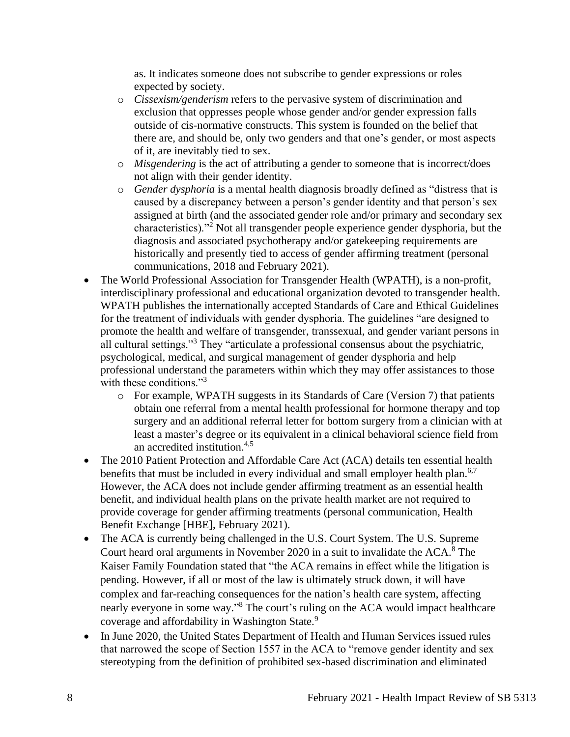as. It indicates someone does not subscribe to gender expressions or roles expected by society.

- o *Cissexism/genderism* refers to the pervasive system of discrimination and exclusion that oppresses people whose gender and/or gender expression falls outside of cis-normative constructs. This system is founded on the belief that there are, and should be, only two genders and that one's gender, or most aspects of it, are inevitably tied to sex.
- o *Misgendering* is the act of attributing a gender to someone that is incorrect/does not align with their gender identity.
- o *Gender dysphoria* is a mental health diagnosis broadly defined as "distress that is caused by a discrepancy between a person's gender identity and that person's sex assigned at birth (and the associated gender role and/or primary and secondary sex characteristics)."<sup>2</sup> Not all transgender people experience gender dysphoria, but the diagnosis and associated psychotherapy and/or gatekeeping requirements are historically and presently tied to access of gender affirming treatment (personal communications, 2018 and February 2021).
- The World Professional Association for Transgender Health (WPATH), is a non-profit, interdisciplinary professional and educational organization devoted to transgender health. WPATH publishes the internationally accepted Standards of Care and Ethical Guidelines for the treatment of individuals with gender dysphoria. The guidelines "are designed to promote the health and welfare of transgender, transsexual, and gender variant persons in all cultural settings."<sup>3</sup> They "articulate a professional consensus about the psychiatric, psychological, medical, and surgical management of gender dysphoria and help professional understand the parameters within which they may offer assistances to those with these conditions."<sup>3</sup>
	- o For example, WPATH suggests in its Standards of Care (Version 7) that patients obtain one referral from a mental health professional for hormone therapy and top surgery and an additional referral letter for bottom surgery from a clinician with at least a master's degree or its equivalent in a clinical behavioral science field from an accredited institution.4,5
- The 2010 Patient Protection and Affordable Care Act (ACA) details ten essential health benefits that must be included in every individual and small employer health plan.<sup>6,7</sup> However, the ACA does not include gender affirming treatment as an essential health benefit, and individual health plans on the private health market are not required to provide coverage for gender affirming treatments (personal communication, Health Benefit Exchange [HBE], February 2021).
- The ACA is currently being challenged in the U.S. Court System. The U.S. Supreme Court heard oral arguments in November 2020 in a suit to invalidate the  $ACA$ <sup>8</sup> The Kaiser Family Foundation stated that "the ACA remains in effect while the litigation is pending. However, if all or most of the law is ultimately struck down, it will have complex and far-reaching consequences for the nation's health care system, affecting nearly everyone in some way."<sup>8</sup> The court's ruling on the ACA would impact healthcare coverage and affordability in Washington State.<sup>9</sup>
- In June 2020, the United States Department of Health and Human Services issued rules that narrowed the scope of Section 1557 in the ACA to "remove gender identity and sex stereotyping from the definition of prohibited sex-based discrimination and eliminated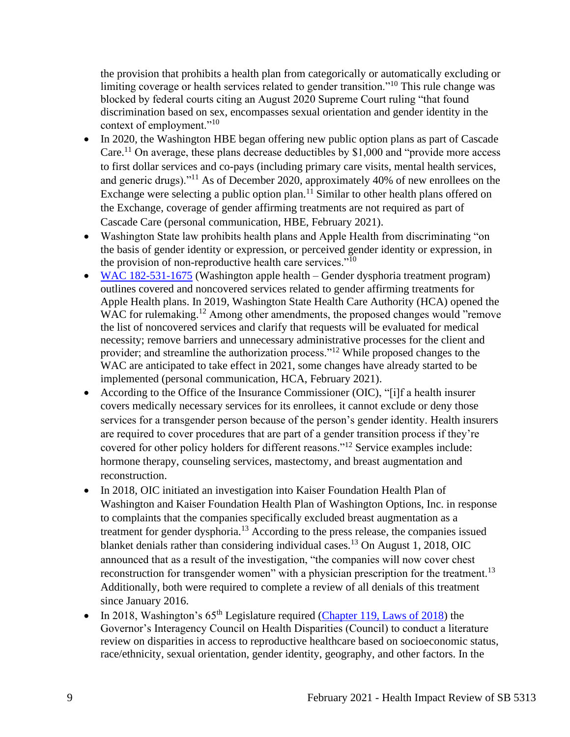the provision that prohibits a health plan from categorically or automatically excluding or limiting coverage or health services related to gender transition."<sup>10</sup> This rule change was blocked by federal courts citing an August 2020 Supreme Court ruling "that found discrimination based on sex, encompasses sexual orientation and gender identity in the context of employment."<sup>10</sup>

- In 2020, the Washington HBE began offering new public option plans as part of Cascade Care.<sup>11</sup> On average, these plans decrease deductibles by \$1,000 and "provide more access" to first dollar services and co-pays (including primary care visits, mental health services, and generic drugs)."<sup>11</sup> As of December 2020, approximately 40% of new enrollees on the Exchange were selecting a public option plan.<sup>11</sup> Similar to other health plans offered on the Exchange, coverage of gender affirming treatments are not required as part of Cascade Care (personal communication, HBE, February 2021).
- Washington State law prohibits health plans and Apple Health from discriminating "on the basis of gender identity or expression, or perceived gender identity or expression, in the provision of non-reproductive health care services."<sup>10</sup>
- [WAC 182-531-1675](https://apps.leg.wa.gov/WAc/default.aspx?cite=182-531-1675) (Washington apple health Gender dysphoria treatment program) outlines covered and noncovered services related to gender affirming treatments for Apple Health plans. In 2019, Washington State Health Care Authority (HCA) opened the WAC for rulemaking.<sup>12</sup> Among other amendments, the proposed changes would "remove the list of noncovered services and clarify that requests will be evaluated for medical necessity; remove barriers and unnecessary administrative processes for the client and provider; and streamline the authorization process."<sup>12</sup> While proposed changes to the WAC are anticipated to take effect in 2021, some changes have already started to be implemented (personal communication, HCA, February 2021).
- According to the Office of the Insurance Commissioner (OIC), "[i]f a health insurer covers medically necessary services for its enrollees, it cannot exclude or deny those services for a transgender person because of the person's gender identity. Health insurers are required to cover procedures that are part of a gender transition process if they're covered for other policy holders for different reasons."<sup>12</sup> Service examples include: hormone therapy, counseling services, mastectomy, and breast augmentation and reconstruction.
- In 2018, OIC initiated an investigation into Kaiser Foundation Health Plan of Washington and Kaiser Foundation Health Plan of Washington Options, Inc. in response to complaints that the companies specifically excluded breast augmentation as a treatment for gender dysphoria.<sup>13</sup> According to the press release, the companies issued blanket denials rather than considering individual cases.<sup>13</sup> On August 1, 2018, OIC announced that as a result of the investigation, "the companies will now cover chest reconstruction for transgender women" with a physician prescription for the treatment.<sup>13</sup> Additionally, both were required to complete a review of all denials of this treatment since January 2016.
- In 2018, Washington's  $65<sup>th</sup>$  Legislature required [\(Chapter 119, Laws](http://lawfilesext.leg.wa.gov/biennium/2017-18/Pdf/Bills/Session%20Laws/Senate/6219-S.SL.pdf?q=20210202083440) of 2018) the Governor's Interagency Council on Health Disparities (Council) to conduct a literature review on disparities in access to reproductive healthcare based on socioeconomic status, race/ethnicity, sexual orientation, gender identity, geography, and other factors. In the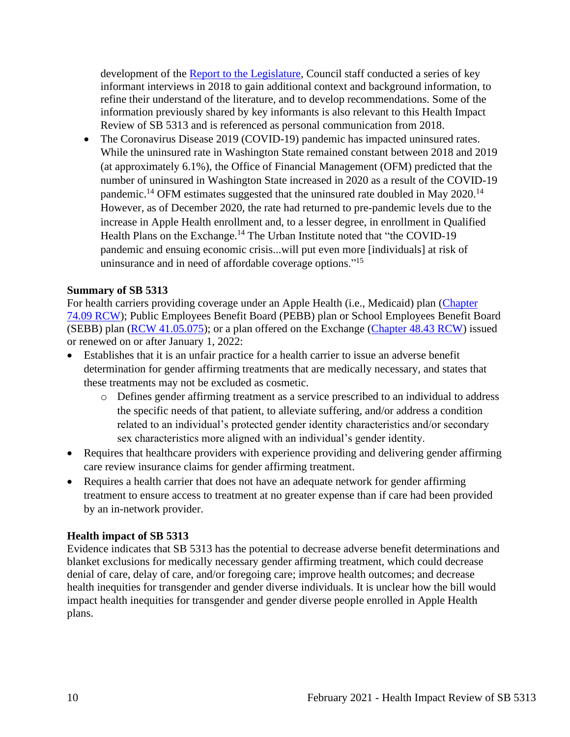development of the [Report to the Legislature,](https://healthequity.wa.gov/Portals/9/Doc/Publications/Reports/LiteratureReviewReproductiveHealthAccess_SSB6219_FINAL_1.1.2019...pdf) Council staff conducted a series of key informant interviews in 2018 to gain additional context and background information, to refine their understand of the literature, and to develop recommendations. Some of the information previously shared by key informants is also relevant to this Health Impact Review of SB 5313 and is referenced as personal communication from 2018.

• The Coronavirus Disease 2019 (COVID-19) pandemic has impacted uninsured rates. While the uninsured rate in Washington State remained constant between 2018 and 2019 (at approximately 6.1%), the Office of Financial Management (OFM) predicted that the number of uninsured in Washington State increased in 2020 as a result of the COVID-19 pandemic.<sup>14</sup> OFM estimates suggested that the uninsured rate doubled in May 2020.<sup>14</sup> However, as of December 2020, the rate had returned to pre-pandemic levels due to the increase in Apple Health enrollment and, to a lesser degree, in enrollment in Qualified Health Plans on the Exchange.<sup>14</sup> The Urban Institute noted that "the COVID-19" pandemic and ensuing economic crisis...will put even more [individuals] at risk of uninsurance and in need of affordable coverage options."<sup>15</sup>

### **Summary of SB 5313**

For health carriers providing coverage under an Apple Health (i.e., Medicaid) plan [\(Chapter](https://app.leg.wa.gov/RCW/default.aspx?cite=74.09&full=true)  [74.09 RCW\)](https://app.leg.wa.gov/RCW/default.aspx?cite=74.09&full=true); Public Employees Benefit Board (PEBB) plan or School Employees Benefit Board (SEBB) plan [\(RCW 41.05.075\)](https://app.leg.wa.gov/rcw/default.aspx?cite=41.05.075); or a plan offered on the Exchange [\(Chapter 48.43 RCW\)](http://lawfilesext.leg.wa.gov/biennium/2021-22/Pdf/Bills/Senate%20Bills/5313.pdf?q=20210201134448) issued or renewed on or after January 1, 2022:

- Establishes that it is an unfair practice for a health carrier to issue an adverse benefit determination for gender affirming treatments that are medically necessary, and states that these treatments may not be excluded as cosmetic.
	- o Defines gender affirming treatment as a service prescribed to an individual to address the specific needs of that patient, to alleviate suffering, and/or address a condition related to an individual's protected gender identity characteristics and/or secondary sex characteristics more aligned with an individual's gender identity.
- Requires that healthcare providers with experience providing and delivering gender affirming care review insurance claims for gender affirming treatment.
- Requires a health carrier that does not have an adequate network for gender affirming treatment to ensure access to treatment at no greater expense than if care had been provided by an in-network provider.

#### **Health impact of SB 5313**

Evidence indicates that SB 5313 has the potential to decrease adverse benefit determinations and blanket exclusions for medically necessary gender affirming treatment, which could decrease denial of care, delay of care, and/or foregoing care; improve health outcomes; and decrease health inequities for transgender and gender diverse individuals. It is unclear how the bill would impact health inequities for transgender and gender diverse people enrolled in Apple Health plans.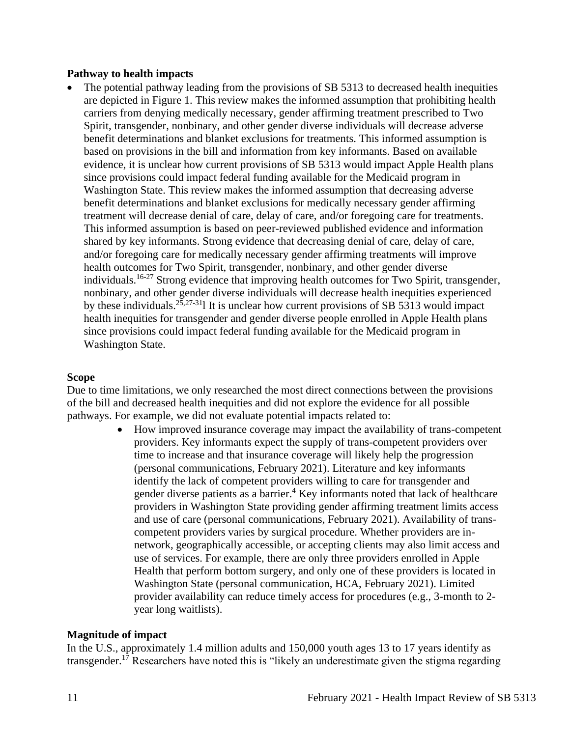#### **Pathway to health impacts**

The potential pathway leading from the provisions of SB 5313 to decreased health inequities are depicted in Figure 1. This review makes the informed assumption that prohibiting health carriers from denying medically necessary, gender affirming treatment prescribed to Two Spirit, transgender, nonbinary, and other gender diverse individuals will decrease adverse benefit determinations and blanket exclusions for treatments. This informed assumption is based on provisions in the bill and information from key informants. Based on available evidence, it is unclear how current provisions of SB 5313 would impact Apple Health plans since provisions could impact federal funding available for the Medicaid program in Washington State. This review makes the informed assumption that decreasing adverse benefit determinations and blanket exclusions for medically necessary gender affirming treatment will decrease denial of care, delay of care, and/or foregoing care for treatments. This informed assumption is based on peer-reviewed published evidence and information shared by key informants. Strong evidence that decreasing denial of care, delay of care, and/or foregoing care for medically necessary gender affirming treatments will improve health outcomes for Two Spirit, transgender, nonbinary, and other gender diverse individuals.16-27 Strong evidence that improving health outcomes for Two Spirit, transgender, nonbinary, and other gender diverse individuals will decrease health inequities experienced by these individuals.<sup>25,27-31</sup>l It is unclear how current provisions of SB 5313 would impact health inequities for transgender and gender diverse people enrolled in Apple Health plans since provisions could impact federal funding available for the Medicaid program in Washington State.

#### **Scope**

Due to time limitations, we only researched the most direct connections between the provisions of the bill and decreased health inequities and did not explore the evidence for all possible pathways. For example, we did not evaluate potential impacts related to:

> • How improved insurance coverage may impact the availability of trans-competent providers. Key informants expect the supply of trans-competent providers over time to increase and that insurance coverage will likely help the progression (personal communications, February 2021). Literature and key informants identify the lack of competent providers willing to care for transgender and gender diverse patients as a barrier.<sup>4</sup> Key informants noted that lack of healthcare providers in Washington State providing gender affirming treatment limits access and use of care (personal communications, February 2021). Availability of transcompetent providers varies by surgical procedure. Whether providers are innetwork, geographically accessible, or accepting clients may also limit access and use of services. For example, there are only three providers enrolled in Apple Health that perform bottom surgery, and only one of these providers is located in Washington State (personal communication, HCA, February 2021). Limited provider availability can reduce timely access for procedures (e.g., 3-month to 2 year long waitlists).

#### **Magnitude of impact**

In the U.S., approximately 1.4 million adults and 150,000 youth ages 13 to 17 years identify as transgender.<sup>17</sup> Researchers have noted this is "likely an underestimate given the stigma regarding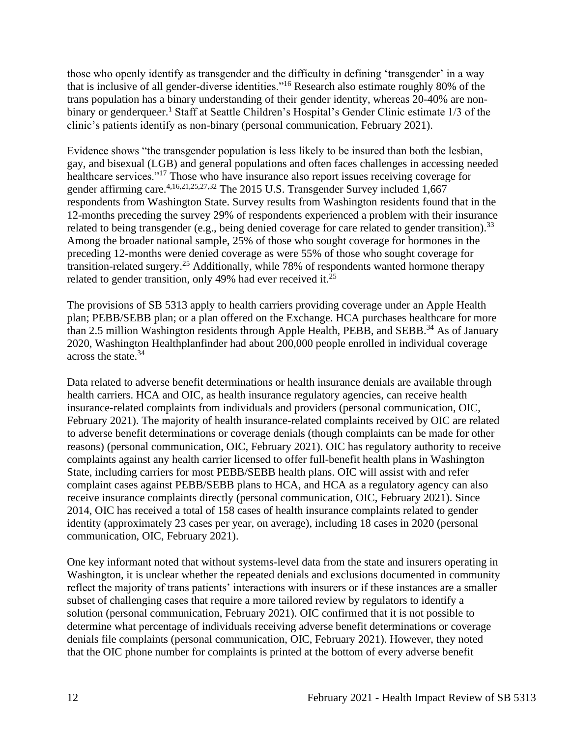those who openly identify as transgender and the difficulty in defining 'transgender' in a way that is inclusive of all gender-diverse identities."<sup>16</sup> Research also estimate roughly 80% of the trans population has a binary understanding of their gender identity, whereas 20-40% are nonbinary or genderqueer.<sup>1</sup> Staff at Seattle Children's Hospital's Gender Clinic estimate 1/3 of the clinic's patients identify as non-binary (personal communication, February 2021).

Evidence shows "the transgender population is less likely to be insured than both the lesbian, gay, and bisexual (LGB) and general populations and often faces challenges in accessing needed healthcare services."<sup>17</sup> Those who have insurance also report issues receiving coverage for gender affirming care.<sup>4,16,21,25,27,32</sup> The 2015 U.S. Transgender Survey included 1,667 respondents from Washington State. Survey results from Washington residents found that in the 12-months preceding the survey 29% of respondents experienced a problem with their insurance related to being transgender (e.g., being denied coverage for care related to gender transition).<sup>33</sup> Among the broader national sample, 25% of those who sought coverage for hormones in the preceding 12-months were denied coverage as were 55% of those who sought coverage for transition-related surgery.<sup>25</sup> Additionally, while 78% of respondents wanted hormone therapy related to gender transition, only 49% had ever received it.<sup>25</sup>

The provisions of SB 5313 apply to health carriers providing coverage under an Apple Health plan; PEBB/SEBB plan; or a plan offered on the Exchange. HCA purchases healthcare for more than 2.5 million Washington residents through Apple Health, PEBB, and SEBB.<sup>34</sup> As of January 2020, Washington Healthplanfinder had about 200,000 people enrolled in individual coverage across the state.<sup>34</sup>

Data related to adverse benefit determinations or health insurance denials are available through health carriers. HCA and OIC, as health insurance regulatory agencies, can receive health insurance-related complaints from individuals and providers (personal communication, OIC, February 2021). The majority of health insurance-related complaints received by OIC are related to adverse benefit determinations or coverage denials (though complaints can be made for other reasons) (personal communication, OIC, February 2021). OIC has regulatory authority to receive complaints against any health carrier licensed to offer full-benefit health plans in Washington State, including carriers for most PEBB/SEBB health plans. OIC will assist with and refer complaint cases against PEBB/SEBB plans to HCA, and HCA as a regulatory agency can also receive insurance complaints directly (personal communication, OIC, February 2021). Since 2014, OIC has received a total of 158 cases of health insurance complaints related to gender identity (approximately 23 cases per year, on average), including 18 cases in 2020 (personal communication, OIC, February 2021).

One key informant noted that without systems-level data from the state and insurers operating in Washington, it is unclear whether the repeated denials and exclusions documented in community reflect the majority of trans patients' interactions with insurers or if these instances are a smaller subset of challenging cases that require a more tailored review by regulators to identify a solution (personal communication, February 2021). OIC confirmed that it is not possible to determine what percentage of individuals receiving adverse benefit determinations or coverage denials file complaints (personal communication, OIC, February 2021). However, they noted that the OIC phone number for complaints is printed at the bottom of every adverse benefit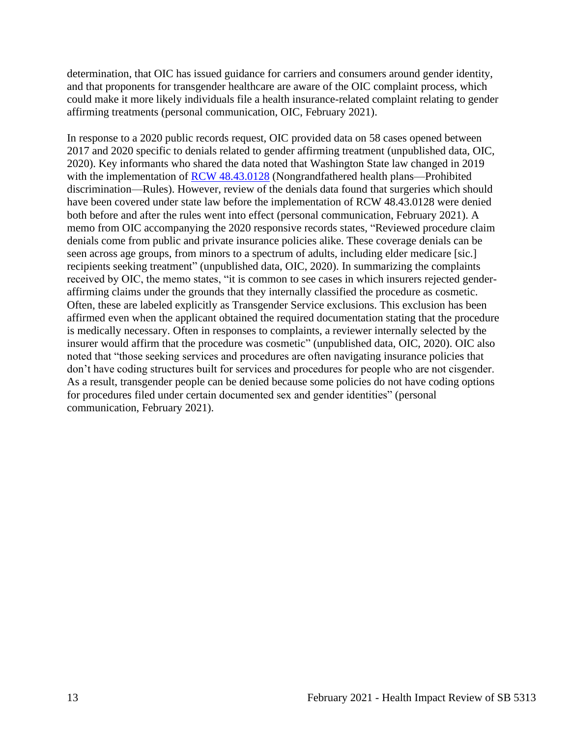determination, that OIC has issued guidance for carriers and consumers around gender identity, and that proponents for transgender healthcare are aware of the OIC complaint process, which could make it more likely individuals file a health insurance-related complaint relating to gender affirming treatments (personal communication, OIC, February 2021).

In response to a 2020 public records request, OIC provided data on 58 cases opened between 2017 and 2020 specific to denials related to gender affirming treatment (unpublished data, OIC, 2020). Key informants who shared the data noted that Washington State law changed in 2019 with the implementation of [RCW 48.43.0128](https://app.leg.wa.gov/RCW/default.aspx?cite=48.43.0128) (Nongrandfathered health plans—Prohibited discrimination—Rules). However, review of the denials data found that surgeries which should have been covered under state law before the implementation of RCW 48.43.0128 were denied both before and after the rules went into effect (personal communication, February 2021). A memo from OIC accompanying the 2020 responsive records states, "Reviewed procedure claim denials come from public and private insurance policies alike. These coverage denials can be seen across age groups, from minors to a spectrum of adults, including elder medicare [sic.] recipients seeking treatment" (unpublished data, OIC, 2020). In summarizing the complaints received by OIC, the memo states, "it is common to see cases in which insurers rejected genderaffirming claims under the grounds that they internally classified the procedure as cosmetic. Often, these are labeled explicitly as Transgender Service exclusions. This exclusion has been affirmed even when the applicant obtained the required documentation stating that the procedure is medically necessary. Often in responses to complaints, a reviewer internally selected by the insurer would affirm that the procedure was cosmetic" (unpublished data, OIC, 2020). OIC also noted that "those seeking services and procedures are often navigating insurance policies that don't have coding structures built for services and procedures for people who are not cisgender. As a result, transgender people can be denied because some policies do not have coding options for procedures filed under certain documented sex and gender identities" (personal communication, February 2021).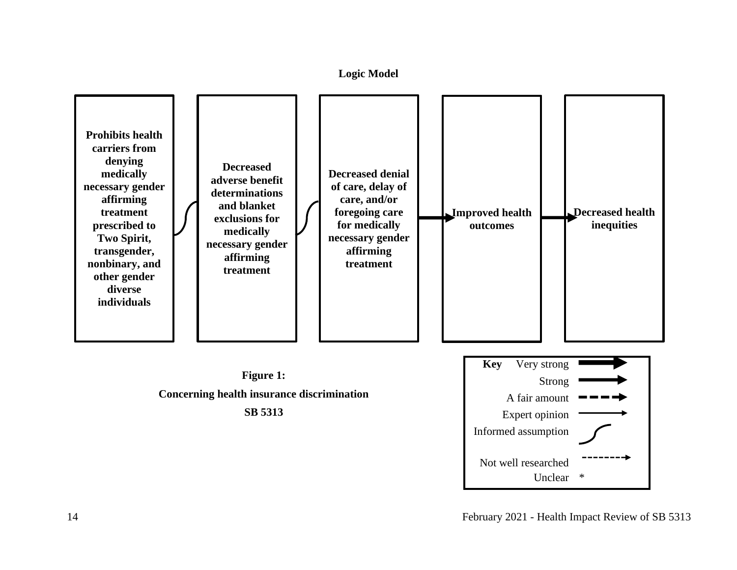**Logic Model**

<span id="page-13-0"></span>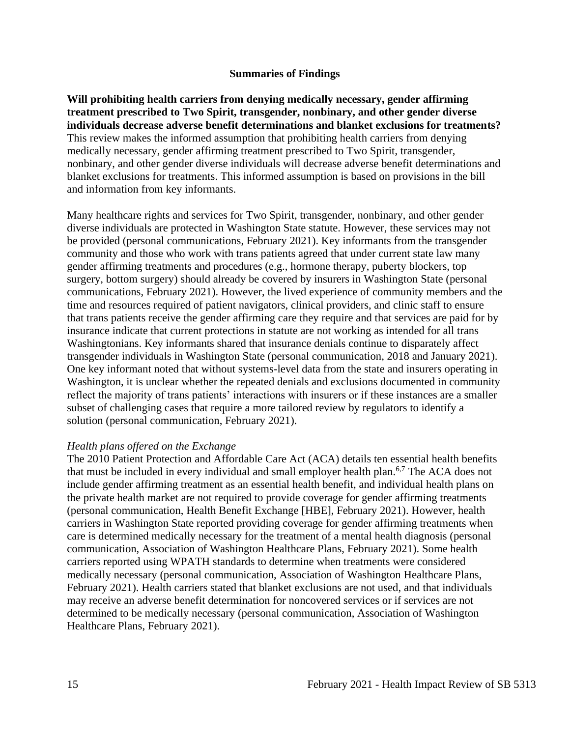#### **Summaries of Findings**

<span id="page-14-0"></span>**Will prohibiting health carriers from denying medically necessary, gender affirming treatment prescribed to Two Spirit, transgender, nonbinary, and other gender diverse individuals decrease adverse benefit determinations and blanket exclusions for treatments?** This review makes the informed assumption that prohibiting health carriers from denying medically necessary, gender affirming treatment prescribed to Two Spirit, transgender, nonbinary, and other gender diverse individuals will decrease adverse benefit determinations and blanket exclusions for treatments. This informed assumption is based on provisions in the bill and information from key informants.

Many healthcare rights and services for Two Spirit, transgender, nonbinary, and other gender diverse individuals are protected in Washington State statute. However, these services may not be provided (personal communications, February 2021). Key informants from the transgender community and those who work with trans patients agreed that under current state law many gender affirming treatments and procedures (e.g., hormone therapy, puberty blockers, top surgery, bottom surgery) should already be covered by insurers in Washington State (personal communications, February 2021). However, the lived experience of community members and the time and resources required of patient navigators, clinical providers, and clinic staff to ensure that trans patients receive the gender affirming care they require and that services are paid for by insurance indicate that current protections in statute are not working as intended for all trans Washingtonians. Key informants shared that insurance denials continue to disparately affect transgender individuals in Washington State (personal communication, 2018 and January 2021). One key informant noted that without systems-level data from the state and insurers operating in Washington, it is unclear whether the repeated denials and exclusions documented in community reflect the majority of trans patients' interactions with insurers or if these instances are a smaller subset of challenging cases that require a more tailored review by regulators to identify a solution (personal communication, February 2021).

#### *Health plans offered on the Exchange*

The 2010 Patient Protection and Affordable Care Act (ACA) details ten essential health benefits that must be included in every individual and small employer health plan.<sup>6,7</sup> The ACA does not include gender affirming treatment as an essential health benefit, and individual health plans on the private health market are not required to provide coverage for gender affirming treatments (personal communication, Health Benefit Exchange [HBE], February 2021). However, health carriers in Washington State reported providing coverage for gender affirming treatments when care is determined medically necessary for the treatment of a mental health diagnosis (personal communication, Association of Washington Healthcare Plans, February 2021). Some health carriers reported using WPATH standards to determine when treatments were considered medically necessary (personal communication, Association of Washington Healthcare Plans, February 2021). Health carriers stated that blanket exclusions are not used, and that individuals may receive an adverse benefit determination for noncovered services or if services are not determined to be medically necessary (personal communication, Association of Washington Healthcare Plans, February 2021).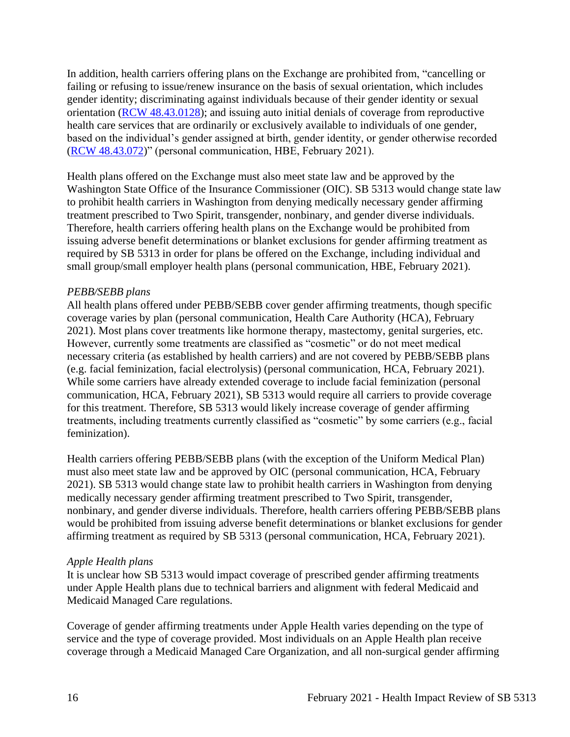In addition, health carriers offering plans on the Exchange are prohibited from, "cancelling or failing or refusing to issue/renew insurance on the basis of sexual orientation, which includes gender identity; discriminating against individuals because of their gender identity or sexual orientation [\(RCW 48.43.0128\)](https://app.leg.wa.gov/RCW/default.aspx?cite=48.43.0128); and issuing auto initial denials of coverage from reproductive health care services that are ordinarily or exclusively available to individuals of one gender, based on the individual's gender assigned at birth, gender identity, or gender otherwise recorded [\(RCW 48.43.072\)](https://apps.leg.wa.gov/rcw/default.aspx?cite=48.43.072)" (personal communication, HBE, February 2021).

Health plans offered on the Exchange must also meet state law and be approved by the Washington State Office of the Insurance Commissioner (OIC). SB 5313 would change state law to prohibit health carriers in Washington from denying medically necessary gender affirming treatment prescribed to Two Spirit, transgender, nonbinary, and gender diverse individuals. Therefore, health carriers offering health plans on the Exchange would be prohibited from issuing adverse benefit determinations or blanket exclusions for gender affirming treatment as required by SB 5313 in order for plans be offered on the Exchange, including individual and small group/small employer health plans (personal communication, HBE, February 2021).

### *PEBB/SEBB plans*

All health plans offered under PEBB/SEBB cover gender affirming treatments, though specific coverage varies by plan (personal communication, Health Care Authority (HCA), February 2021). Most plans cover treatments like hormone therapy, mastectomy, genital surgeries, etc. However, currently some treatments are classified as "cosmetic" or do not meet medical necessary criteria (as established by health carriers) and are not covered by PEBB/SEBB plans (e.g. facial feminization, facial electrolysis) (personal communication, HCA, February 2021). While some carriers have already extended coverage to include facial feminization (personal communication, HCA, February 2021), SB 5313 would require all carriers to provide coverage for this treatment. Therefore, SB 5313 would likely increase coverage of gender affirming treatments, including treatments currently classified as "cosmetic" by some carriers (e.g., facial feminization).

Health carriers offering PEBB/SEBB plans (with the exception of the Uniform Medical Plan) must also meet state law and be approved by OIC (personal communication, HCA, February 2021). SB 5313 would change state law to prohibit health carriers in Washington from denying medically necessary gender affirming treatment prescribed to Two Spirit, transgender, nonbinary, and gender diverse individuals. Therefore, health carriers offering PEBB/SEBB plans would be prohibited from issuing adverse benefit determinations or blanket exclusions for gender affirming treatment as required by SB 5313 (personal communication, HCA, February 2021).

#### *Apple Health plans*

It is unclear how SB 5313 would impact coverage of prescribed gender affirming treatments under Apple Health plans due to technical barriers and alignment with federal Medicaid and Medicaid Managed Care regulations.

Coverage of gender affirming treatments under Apple Health varies depending on the type of service and the type of coverage provided. Most individuals on an Apple Health plan receive coverage through a Medicaid Managed Care Organization, and all non-surgical gender affirming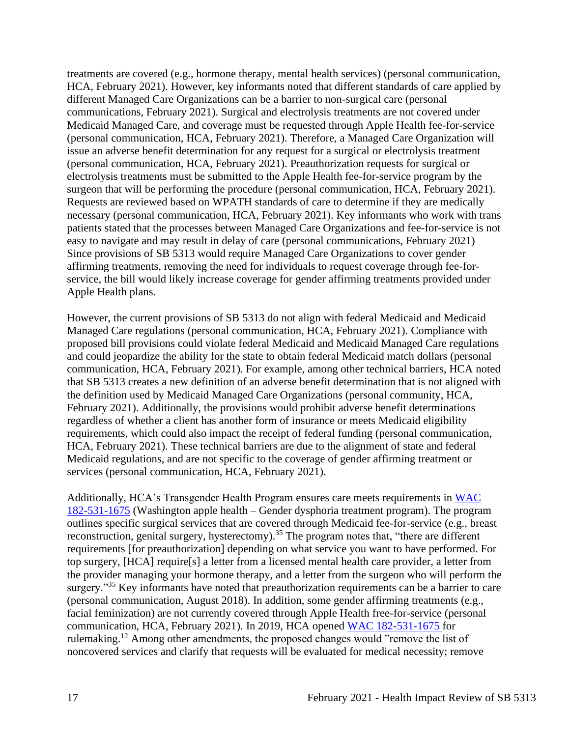treatments are covered (e.g., hormone therapy, mental health services) (personal communication, HCA, February 2021). However, key informants noted that different standards of care applied by different Managed Care Organizations can be a barrier to non-surgical care (personal communications, February 2021). Surgical and electrolysis treatments are not covered under Medicaid Managed Care, and coverage must be requested through Apple Health fee-for-service (personal communication, HCA, February 2021). Therefore, a Managed Care Organization will issue an adverse benefit determination for any request for a surgical or electrolysis treatment (personal communication, HCA, February 2021). Preauthorization requests for surgical or electrolysis treatments must be submitted to the Apple Health fee-for-service program by the surgeon that will be performing the procedure (personal communication, HCA, February 2021). Requests are reviewed based on WPATH standards of care to determine if they are medically necessary (personal communication, HCA, February 2021). Key informants who work with trans patients stated that the processes between Managed Care Organizations and fee-for-service is not easy to navigate and may result in delay of care (personal communications, February 2021) Since provisions of SB 5313 would require Managed Care Organizations to cover gender affirming treatments, removing the need for individuals to request coverage through fee-forservice, the bill would likely increase coverage for gender affirming treatments provided under Apple Health plans.

However, the current provisions of SB 5313 do not align with federal Medicaid and Medicaid Managed Care regulations (personal communication, HCA, February 2021). Compliance with proposed bill provisions could violate federal Medicaid and Medicaid Managed Care regulations and could jeopardize the ability for the state to obtain federal Medicaid match dollars (personal communication, HCA, February 2021). For example, among other technical barriers, HCA noted that SB 5313 creates a new definition of an adverse benefit determination that is not aligned with the definition used by Medicaid Managed Care Organizations (personal community, HCA, February 2021). Additionally, the provisions would prohibit adverse benefit determinations regardless of whether a client has another form of insurance or meets Medicaid eligibility requirements, which could also impact the receipt of federal funding (personal communication, HCA, February 2021). These technical barriers are due to the alignment of state and federal Medicaid regulations, and are not specific to the coverage of gender affirming treatment or services (personal communication, HCA, February 2021).

Additionally, HCA's Transgender Health Program ensures care meets requirements in [WAC](https://apps.leg.wa.gov/WAc/default.aspx?cite=182-531-1675)  [182-531-1675](https://apps.leg.wa.gov/WAc/default.aspx?cite=182-531-1675) (Washington apple health – Gender dysphoria treatment program). The program outlines specific surgical services that are covered through Medicaid fee-for-service (e.g., breast reconstruction, genital surgery, hysterectomy).<sup>35</sup> The program notes that, "there are different requirements [for preauthorization] depending on what service you want to have performed. For top surgery, [HCA] require[s] a letter from a licensed mental health care provider, a letter from the provider managing your hormone therapy, and a letter from the surgeon who will perform the surgery."<sup>35</sup> Key informants have noted that preauthorization requirements can be a barrier to care (personal communication, August 2018). In addition, some gender affirming treatments (e.g., facial feminization) are not currently covered through Apple Health free-for-service (personal communication, HCA, February 2021). In 2019, HCA opened [WAC 182-531-1675](https://apps.leg.wa.gov/WAc/default.aspx?cite=182-531-1675) for rulemaking.<sup>12</sup> Among other amendments, the proposed changes would "remove the list of noncovered services and clarify that requests will be evaluated for medical necessity; remove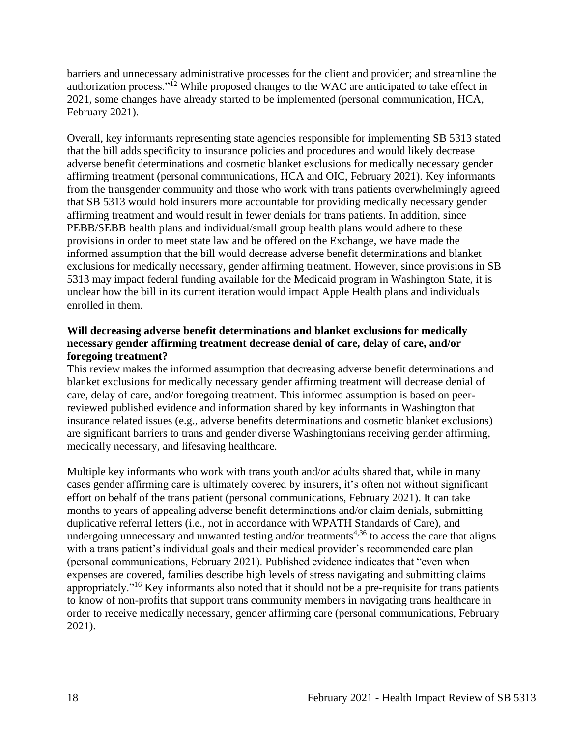barriers and unnecessary administrative processes for the client and provider; and streamline the authorization process."<sup>12</sup> While proposed changes to the WAC are anticipated to take effect in 2021, some changes have already started to be implemented (personal communication, HCA, February 2021).

Overall, key informants representing state agencies responsible for implementing SB 5313 stated that the bill adds specificity to insurance policies and procedures and would likely decrease adverse benefit determinations and cosmetic blanket exclusions for medically necessary gender affirming treatment (personal communications, HCA and OIC, February 2021). Key informants from the transgender community and those who work with trans patients overwhelmingly agreed that SB 5313 would hold insurers more accountable for providing medically necessary gender affirming treatment and would result in fewer denials for trans patients. In addition, since PEBB/SEBB health plans and individual/small group health plans would adhere to these provisions in order to meet state law and be offered on the Exchange, we have made the informed assumption that the bill would decrease adverse benefit determinations and blanket exclusions for medically necessary, gender affirming treatment. However, since provisions in SB 5313 may impact federal funding available for the Medicaid program in Washington State, it is unclear how the bill in its current iteration would impact Apple Health plans and individuals enrolled in them.

## **Will decreasing adverse benefit determinations and blanket exclusions for medically necessary gender affirming treatment decrease denial of care, delay of care, and/or foregoing treatment?**

This review makes the informed assumption that decreasing adverse benefit determinations and blanket exclusions for medically necessary gender affirming treatment will decrease denial of care, delay of care, and/or foregoing treatment. This informed assumption is based on peerreviewed published evidence and information shared by key informants in Washington that insurance related issues (e.g., adverse benefits determinations and cosmetic blanket exclusions) are significant barriers to trans and gender diverse Washingtonians receiving gender affirming, medically necessary, and lifesaving healthcare.

Multiple key informants who work with trans youth and/or adults shared that, while in many cases gender affirming care is ultimately covered by insurers, it's often not without significant effort on behalf of the trans patient (personal communications, February 2021). It can take months to years of appealing adverse benefit determinations and/or claim denials, submitting duplicative referral letters (i.e., not in accordance with WPATH Standards of Care), and undergoing unnecessary and unwanted testing and/or treatments<sup> $4,36$ </sup> to access the care that aligns with a trans patient's individual goals and their medical provider's recommended care plan (personal communications, February 2021). Published evidence indicates that "even when expenses are covered, families describe high levels of stress navigating and submitting claims appropriately."<sup>16</sup> Key informants also noted that it should not be a pre-requisite for trans patients to know of non-profits that support trans community members in navigating trans healthcare in order to receive medically necessary, gender affirming care (personal communications, February 2021).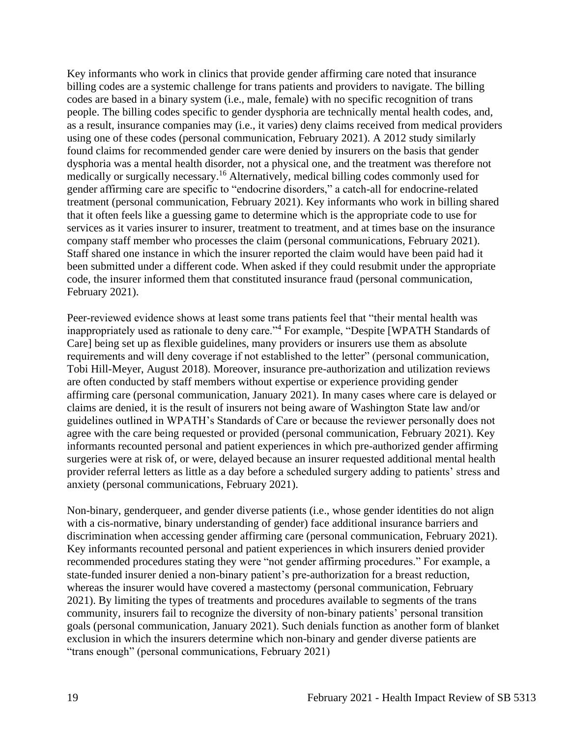Key informants who work in clinics that provide gender affirming care noted that insurance billing codes are a systemic challenge for trans patients and providers to navigate. The billing codes are based in a binary system (i.e., male, female) with no specific recognition of trans people. The billing codes specific to gender dysphoria are technically mental health codes, and, as a result, insurance companies may (i.e., it varies) deny claims received from medical providers using one of these codes (personal communication, February 2021). A 2012 study similarly found claims for recommended gender care were denied by insurers on the basis that gender dysphoria was a mental health disorder, not a physical one, and the treatment was therefore not medically or surgically necessary.<sup>16</sup> Alternatively, medical billing codes commonly used for gender affirming care are specific to "endocrine disorders," a catch-all for endocrine-related treatment (personal communication, February 2021). Key informants who work in billing shared that it often feels like a guessing game to determine which is the appropriate code to use for services as it varies insurer to insurer, treatment to treatment, and at times base on the insurance company staff member who processes the claim (personal communications, February 2021). Staff shared one instance in which the insurer reported the claim would have been paid had it been submitted under a different code. When asked if they could resubmit under the appropriate code, the insurer informed them that constituted insurance fraud (personal communication, February 2021).

Peer-reviewed evidence shows at least some trans patients feel that "their mental health was inappropriately used as rationale to deny care."<sup>4</sup> For example, "Despite [WPATH Standards of Care] being set up as flexible guidelines, many providers or insurers use them as absolute requirements and will deny coverage if not established to the letter" (personal communication, Tobi Hill-Meyer, August 2018). Moreover, insurance pre-authorization and utilization reviews are often conducted by staff members without expertise or experience providing gender affirming care (personal communication, January 2021). In many cases where care is delayed or claims are denied, it is the result of insurers not being aware of Washington State law and/or guidelines outlined in WPATH's Standards of Care or because the reviewer personally does not agree with the care being requested or provided (personal communication, February 2021). Key informants recounted personal and patient experiences in which pre-authorized gender affirming surgeries were at risk of, or were, delayed because an insurer requested additional mental health provider referral letters as little as a day before a scheduled surgery adding to patients' stress and anxiety (personal communications, February 2021).

Non-binary, genderqueer, and gender diverse patients (i.e., whose gender identities do not align with a cis-normative, binary understanding of gender) face additional insurance barriers and discrimination when accessing gender affirming care (personal communication, February 2021). Key informants recounted personal and patient experiences in which insurers denied provider recommended procedures stating they were "not gender affirming procedures." For example, a state-funded insurer denied a non-binary patient's pre-authorization for a breast reduction, whereas the insurer would have covered a mastectomy (personal communication, February 2021). By limiting the types of treatments and procedures available to segments of the trans community, insurers fail to recognize the diversity of non-binary patients' personal transition goals (personal communication, January 2021). Such denials function as another form of blanket exclusion in which the insurers determine which non-binary and gender diverse patients are "trans enough" (personal communications, February 2021)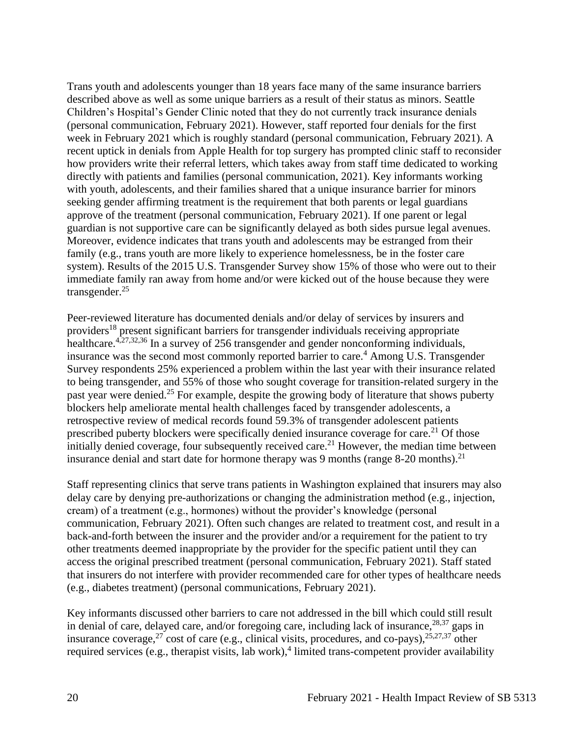Trans youth and adolescents younger than 18 years face many of the same insurance barriers described above as well as some unique barriers as a result of their status as minors. Seattle Children's Hospital's Gender Clinic noted that they do not currently track insurance denials (personal communication, February 2021). However, staff reported four denials for the first week in February 2021 which is roughly standard (personal communication, February 2021). A recent uptick in denials from Apple Health for top surgery has prompted clinic staff to reconsider how providers write their referral letters, which takes away from staff time dedicated to working directly with patients and families (personal communication, 2021). Key informants working with youth, adolescents, and their families shared that a unique insurance barrier for minors seeking gender affirming treatment is the requirement that both parents or legal guardians approve of the treatment (personal communication, February 2021). If one parent or legal guardian is not supportive care can be significantly delayed as both sides pursue legal avenues. Moreover, evidence indicates that trans youth and adolescents may be estranged from their family (e.g., trans youth are more likely to experience homelessness, be in the foster care system). Results of the 2015 U.S. Transgender Survey show 15% of those who were out to their immediate family ran away from home and/or were kicked out of the house because they were transgender.<sup>25</sup>

Peer-reviewed literature has documented denials and/or delay of services by insurers and providers<sup>18</sup> present significant barriers for transgender individuals receiving appropriate healthcare.<sup>4,27,32,36</sup> In a survey of 256 transgender and gender nonconforming individuals, insurance was the second most commonly reported barrier to care.<sup>4</sup> Among U.S. Transgender Survey respondents 25% experienced a problem within the last year with their insurance related to being transgender, and 55% of those who sought coverage for transition-related surgery in the past year were denied.<sup>25</sup> For example, despite the growing body of literature that shows puberty blockers help ameliorate mental health challenges faced by transgender adolescents, a retrospective review of medical records found 59.3% of transgender adolescent patients prescribed puberty blockers were specifically denied insurance coverage for care.<sup>21</sup> Of those initially denied coverage, four subsequently received care.<sup>21</sup> However, the median time between insurance denial and start date for hormone therapy was 9 months (range  $8-20$  months).<sup>21</sup>

Staff representing clinics that serve trans patients in Washington explained that insurers may also delay care by denying pre-authorizations or changing the administration method (e.g., injection, cream) of a treatment (e.g., hormones) without the provider's knowledge (personal communication, February 2021). Often such changes are related to treatment cost, and result in a back-and-forth between the insurer and the provider and/or a requirement for the patient to try other treatments deemed inappropriate by the provider for the specific patient until they can access the original prescribed treatment (personal communication, February 2021). Staff stated that insurers do not interfere with provider recommended care for other types of healthcare needs (e.g., diabetes treatment) (personal communications, February 2021).

Key informants discussed other barriers to care not addressed in the bill which could still result in denial of care, delayed care, and/or foregoing care, including lack of insurance,  $28,37$  gaps in insurance coverage,<sup>27</sup> cost of care (e.g., clinical visits, procedures, and co-pays),  $25,27,37$  other required services (e.g., therapist visits, lab work),<sup>4</sup> limited trans-competent provider availability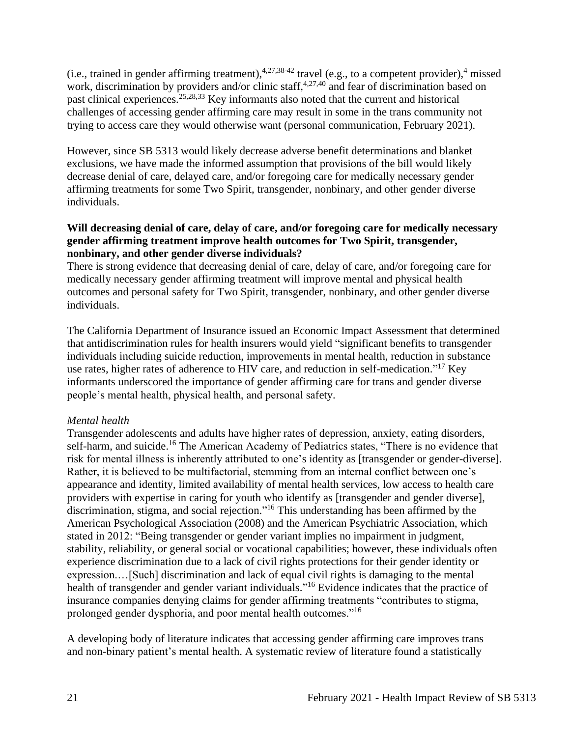(i.e., trained in gender affirming treatment),  $4,27,38-42$  travel (e.g., to a competent provider),  $4$  missed work, discrimination by providers and/or clinic staff,  $4,27,40$  and fear of discrimination based on past clinical experiences.25,28,33 Key informants also noted that the current and historical challenges of accessing gender affirming care may result in some in the trans community not trying to access care they would otherwise want (personal communication, February 2021).

However, since SB 5313 would likely decrease adverse benefit determinations and blanket exclusions, we have made the informed assumption that provisions of the bill would likely decrease denial of care, delayed care, and/or foregoing care for medically necessary gender affirming treatments for some Two Spirit, transgender, nonbinary, and other gender diverse individuals.

## **Will decreasing denial of care, delay of care, and/or foregoing care for medically necessary gender affirming treatment improve health outcomes for Two Spirit, transgender, nonbinary, and other gender diverse individuals?**

There is strong evidence that decreasing denial of care, delay of care, and/or foregoing care for medically necessary gender affirming treatment will improve mental and physical health outcomes and personal safety for Two Spirit, transgender, nonbinary, and other gender diverse individuals.

The California Department of Insurance issued an Economic Impact Assessment that determined that antidiscrimination rules for health insurers would yield "significant benefits to transgender individuals including suicide reduction, improvements in mental health, reduction in substance use rates, higher rates of adherence to HIV care, and reduction in self-medication."<sup>17</sup> Key informants underscored the importance of gender affirming care for trans and gender diverse people's mental health, physical health, and personal safety.

## *Mental health*

Transgender adolescents and adults have higher rates of depression, anxiety, eating disorders, self-harm, and suicide.<sup>16</sup> The American Academy of Pediatrics states, "There is no evidence that risk for mental illness is inherently attributed to one's identity as [transgender or gender-diverse]. Rather, it is believed to be multifactorial, stemming from an internal conflict between one's appearance and identity, limited availability of mental health services, low access to health care providers with expertise in caring for youth who identify as [transgender and gender diverse], discrimination, stigma, and social rejection."<sup>16</sup> This understanding has been affirmed by the American Psychological Association (2008) and the American Psychiatric Association, which stated in 2012: "Being transgender or gender variant implies no impairment in judgment, stability, reliability, or general social or vocational capabilities; however, these individuals often experience discrimination due to a lack of civil rights protections for their gender identity or expression.…[Such] discrimination and lack of equal civil rights is damaging to the mental health of transgender and gender variant individuals."<sup>16</sup> Evidence indicates that the practice of insurance companies denying claims for gender affirming treatments "contributes to stigma, prolonged gender dysphoria, and poor mental health outcomes."<sup>16</sup>

A developing body of literature indicates that accessing gender affirming care improves trans and non-binary patient's mental health. A systematic review of literature found a statistically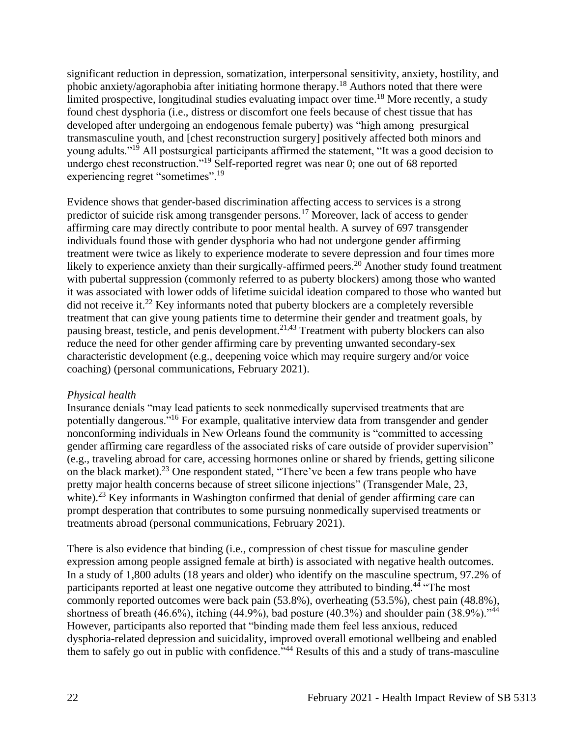significant reduction in depression, somatization, interpersonal sensitivity, anxiety, hostility, and phobic anxiety/agoraphobia after initiating hormone therapy.<sup>18</sup> Authors noted that there were limited prospective, longitudinal studies evaluating impact over time.<sup>18</sup> More recently, a study found chest dysphoria (i.e., distress or discomfort one feels because of chest tissue that has developed after undergoing an endogenous female puberty) was "high among presurgical transmasculine youth, and [chest reconstruction surgery] positively affected both minors and young adults."<sup>19</sup> All postsurgical participants affirmed the statement, "It was a good decision to undergo chest reconstruction."<sup>19</sup> Self-reported regret was near 0; one out of 68 reported experiencing regret "sometimes".<sup>19</sup>

Evidence shows that gender-based discrimination affecting access to services is a strong predictor of suicide risk among transgender persons.<sup>17</sup> Moreover, lack of access to gender affirming care may directly contribute to poor mental health. A survey of 697 transgender individuals found those with gender dysphoria who had not undergone gender affirming treatment were twice as likely to experience moderate to severe depression and four times more likely to experience anxiety than their surgically-affirmed peers.<sup>20</sup> Another study found treatment with pubertal suppression (commonly referred to as puberty blockers) among those who wanted it was associated with lower odds of lifetime suicidal ideation compared to those who wanted but did not receive it.<sup>22</sup> Key informants noted that puberty blockers are a completely reversible treatment that can give young patients time to determine their gender and treatment goals, by pausing breast, testicle, and penis development.<sup>21,43</sup> Treatment with puberty blockers can also reduce the need for other gender affirming care by preventing unwanted secondary-sex characteristic development (e.g., deepening voice which may require surgery and/or voice coaching) (personal communications, February 2021).

#### *Physical health*

Insurance denials "may lead patients to seek nonmedically supervised treatments that are potentially dangerous."<sup>16</sup> For example, qualitative interview data from transgender and gender nonconforming individuals in New Orleans found the community is "committed to accessing gender affirming care regardless of the associated risks of care outside of provider supervision" (e.g., traveling abroad for care, accessing hormones online or shared by friends, getting silicone on the black market).<sup>23</sup> One respondent stated, "There've been a few trans people who have pretty major health concerns because of street silicone injections" (Transgender Male, 23, white).<sup>23</sup> Key informants in Washington confirmed that denial of gender affirming care can prompt desperation that contributes to some pursuing nonmedically supervised treatments or treatments abroad (personal communications, February 2021).

There is also evidence that binding (i.e., compression of chest tissue for masculine gender expression among people assigned female at birth) is associated with negative health outcomes. In a study of 1,800 adults (18 years and older) who identify on the masculine spectrum, 97.2% of participants reported at least one negative outcome they attributed to binding.<sup>44</sup> "The most commonly reported outcomes were back pain (53.8%), overheating (53.5%), chest pain (48.8%), shortness of breath (46.6%), itching (44.9%), bad posture (40.3%) and shoulder pain (38.9%)."<sup>44</sup> However, participants also reported that "binding made them feel less anxious, reduced dysphoria-related depression and suicidality, improved overall emotional wellbeing and enabled them to safely go out in public with confidence.<sup> $34$ </sup> Results of this and a study of trans-masculine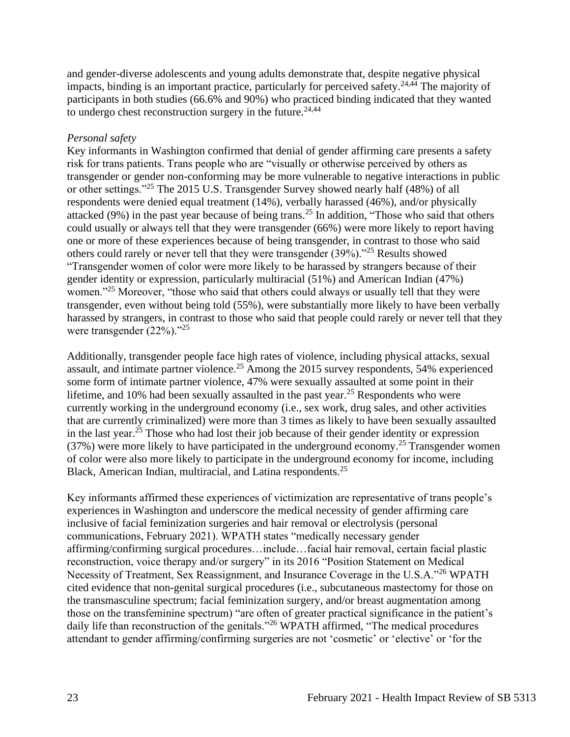and gender-diverse adolescents and young adults demonstrate that, despite negative physical impacts, binding is an important practice, particularly for perceived safety.<sup>24,44</sup> The majority of participants in both studies (66.6% and 90%) who practiced binding indicated that they wanted to undergo chest reconstruction surgery in the future.  $24,44$ 

## *Personal safety*

Key informants in Washington confirmed that denial of gender affirming care presents a safety risk for trans patients. Trans people who are "visually or otherwise perceived by others as transgender or gender non-conforming may be more vulnerable to negative interactions in public or other settings."<sup>25</sup> The 2015 U.S. Transgender Survey showed nearly half (48%) of all respondents were denied equal treatment (14%), verbally harassed (46%), and/or physically attacked (9%) in the past year because of being trans.<sup>25</sup> In addition, "Those who said that others could usually or always tell that they were transgender (66%) were more likely to report having one or more of these experiences because of being transgender, in contrast to those who said others could rarely or never tell that they were transgender (39%)."<sup>25</sup> Results showed "Transgender women of color were more likely to be harassed by strangers because of their gender identity or expression, particularly multiracial (51%) and American Indian (47%) women."<sup>25</sup> Moreover, "those who said that others could always or usually tell that they were transgender, even without being told (55%), were substantially more likely to have been verbally harassed by strangers, in contrast to those who said that people could rarely or never tell that they were transgender (22%)."<sup>25</sup>

Additionally, transgender people face high rates of violence, including physical attacks, sexual assault, and intimate partner violence.<sup>25</sup> Among the 2015 survey respondents, 54% experienced some form of intimate partner violence, 47% were sexually assaulted at some point in their lifetime, and 10% had been sexually assaulted in the past year.<sup>25</sup> Respondents who were currently working in the underground economy (i.e., sex work, drug sales, and other activities that are currently criminalized) were more than 3 times as likely to have been sexually assaulted in the last year.<sup>25</sup> Those who had lost their job because of their gender identity or expression  $(37%)$  were more likely to have participated in the underground economy.<sup>25</sup> Transgender women of color were also more likely to participate in the underground economy for income, including Black, American Indian, multiracial, and Latina respondents.<sup>25</sup>

Key informants affirmed these experiences of victimization are representative of trans people's experiences in Washington and underscore the medical necessity of gender affirming care inclusive of facial feminization surgeries and hair removal or electrolysis (personal communications, February 2021). WPATH states "medically necessary gender affirming/confirming surgical procedures…include…facial hair removal, certain facial plastic reconstruction, voice therapy and/or surgery" in its 2016 "Position Statement on Medical Necessity of Treatment, Sex Reassignment, and Insurance Coverage in the U.S.A."<sup>26</sup> WPATH cited evidence that non-genital surgical procedures (i.e., subcutaneous mastectomy for those on the transmasculine spectrum; facial feminization surgery, and/or breast augmentation among those on the transfeminine spectrum) "are often of greater practical significance in the patient's daily life than reconstruction of the genitals."<sup>26</sup> WPATH affirmed, "The medical procedures attendant to gender affirming/confirming surgeries are not 'cosmetic' or 'elective' or 'for the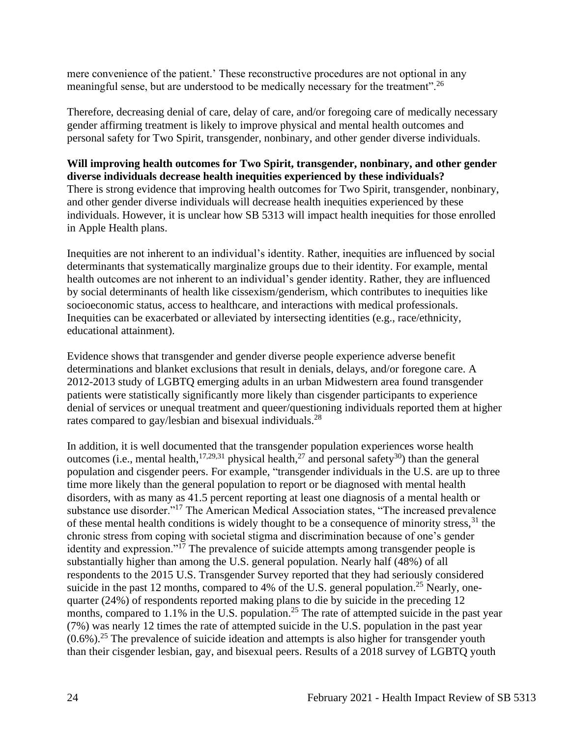mere convenience of the patient.' These reconstructive procedures are not optional in any meaningful sense, but are understood to be medically necessary for the treatment".<sup>26</sup>

Therefore, decreasing denial of care, delay of care, and/or foregoing care of medically necessary gender affirming treatment is likely to improve physical and mental health outcomes and personal safety for Two Spirit, transgender, nonbinary, and other gender diverse individuals.

#### **Will improving health outcomes for Two Spirit, transgender, nonbinary, and other gender diverse individuals decrease health inequities experienced by these individuals?**

There is strong evidence that improving health outcomes for Two Spirit, transgender, nonbinary, and other gender diverse individuals will decrease health inequities experienced by these individuals. However, it is unclear how SB 5313 will impact health inequities for those enrolled in Apple Health plans.

Inequities are not inherent to an individual's identity. Rather, inequities are influenced by social determinants that systematically marginalize groups due to their identity. For example, mental health outcomes are not inherent to an individual's gender identity. Rather, they are influenced by social determinants of health like cissexism/genderism, which contributes to inequities like socioeconomic status, access to healthcare, and interactions with medical professionals. Inequities can be exacerbated or alleviated by intersecting identities (e.g., race/ethnicity, educational attainment).

Evidence shows that transgender and gender diverse people experience adverse benefit determinations and blanket exclusions that result in denials, delays, and/or foregone care. A 2012-2013 study of LGBTQ emerging adults in an urban Midwestern area found transgender patients were statistically significantly more likely than cisgender participants to experience denial of services or unequal treatment and queer/questioning individuals reported them at higher rates compared to gay/lesbian and bisexual individuals.<sup>28</sup>

In addition, it is well documented that the transgender population experiences worse health outcomes (i.e., mental health,  $17,29,31$  physical health,  $27$  and personal safety  $30$ ) than the general population and cisgender peers. For example, "transgender individuals in the U.S. are up to three time more likely than the general population to report or be diagnosed with mental health disorders, with as many as 41.5 percent reporting at least one diagnosis of a mental health or substance use disorder."<sup>17</sup> The American Medical Association states, "The increased prevalence of these mental health conditions is widely thought to be a consequence of minority stress,  $31$  the chronic stress from coping with societal stigma and discrimination because of one's gender identity and expression."<sup>17</sup> The prevalence of suicide attempts among transgender people is substantially higher than among the U.S. general population. Nearly half (48%) of all respondents to the 2015 U.S. Transgender Survey reported that they had seriously considered suicide in the past 12 months, compared to 4% of the U.S. general population.<sup>25</sup> Nearly, onequarter (24%) of respondents reported making plans to die by suicide in the preceding 12 months, compared to 1.1% in the U.S. population.<sup>25</sup> The rate of attempted suicide in the past year (7%) was nearly 12 times the rate of attempted suicide in the U.S. population in the past year  $(0.6\%)$ <sup>25</sup>. The prevalence of suicide ideation and attempts is also higher for transgender youth than their cisgender lesbian, gay, and bisexual peers. Results of a 2018 survey of LGBTQ youth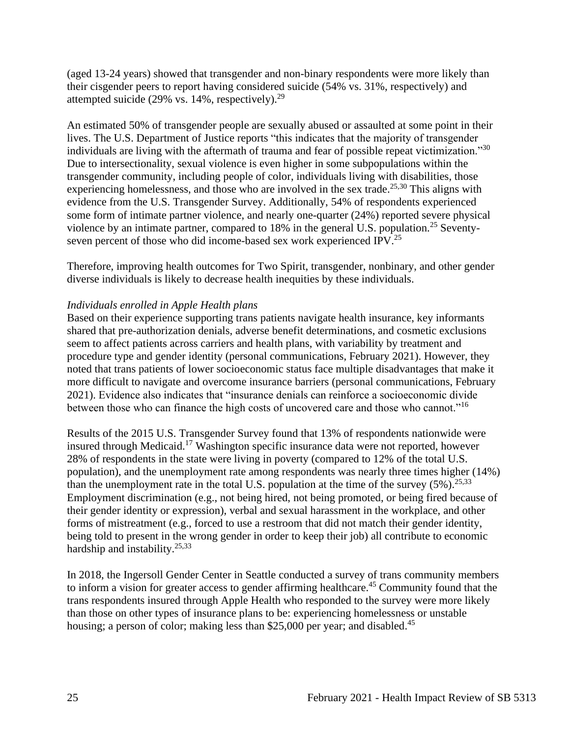(aged 13-24 years) showed that transgender and non-binary respondents were more likely than their cisgender peers to report having considered suicide (54% vs. 31%, respectively) and attempted suicide (29% vs. 14%, respectively).<sup>29</sup>

An estimated 50% of transgender people are sexually abused or assaulted at some point in their lives. The U.S. Department of Justice reports "this indicates that the majority of transgender individuals are living with the aftermath of trauma and fear of possible repeat victimization."<sup>30</sup> Due to intersectionality, sexual violence is even higher in some subpopulations within the transgender community, including people of color, individuals living with disabilities, those experiencing homelessness, and those who are involved in the sex trade.<sup>25,30</sup> This aligns with evidence from the U.S. Transgender Survey. Additionally, 54% of respondents experienced some form of intimate partner violence, and nearly one-quarter (24%) reported severe physical violence by an intimate partner, compared to 18% in the general U.S. population.<sup>25</sup> Seventyseven percent of those who did income-based sex work experienced IPV.<sup>25</sup>

Therefore, improving health outcomes for Two Spirit, transgender, nonbinary, and other gender diverse individuals is likely to decrease health inequities by these individuals.

## *Individuals enrolled in Apple Health plans*

Based on their experience supporting trans patients navigate health insurance, key informants shared that pre-authorization denials, adverse benefit determinations, and cosmetic exclusions seem to affect patients across carriers and health plans, with variability by treatment and procedure type and gender identity (personal communications, February 2021). However, they noted that trans patients of lower socioeconomic status face multiple disadvantages that make it more difficult to navigate and overcome insurance barriers (personal communications, February 2021). Evidence also indicates that "insurance denials can reinforce a socioeconomic divide between those who can finance the high costs of uncovered care and those who cannot."<sup>16</sup>

Results of the 2015 U.S. Transgender Survey found that 13% of respondents nationwide were insured through Medicaid.<sup>17</sup> Washington specific insurance data were not reported, however 28% of respondents in the state were living in poverty (compared to 12% of the total U.S. population), and the unemployment rate among respondents was nearly three times higher (14%) than the unemployment rate in the total U.S. population at the time of the survey  $(5\%)$ .<sup>25,33</sup> Employment discrimination (e.g., not being hired, not being promoted, or being fired because of their gender identity or expression), verbal and sexual harassment in the workplace, and other forms of mistreatment (e.g., forced to use a restroom that did not match their gender identity, being told to present in the wrong gender in order to keep their job) all contribute to economic hardship and instability. $25,33$ 

In 2018, the Ingersoll Gender Center in Seattle conducted a survey of trans community members to inform a vision for greater access to gender affirming healthcare.<sup>45</sup> Community found that the trans respondents insured through Apple Health who responded to the survey were more likely than those on other types of insurance plans to be: experiencing homelessness or unstable housing; a person of color; making less than \$25,000 per year; and disabled.<sup>45</sup>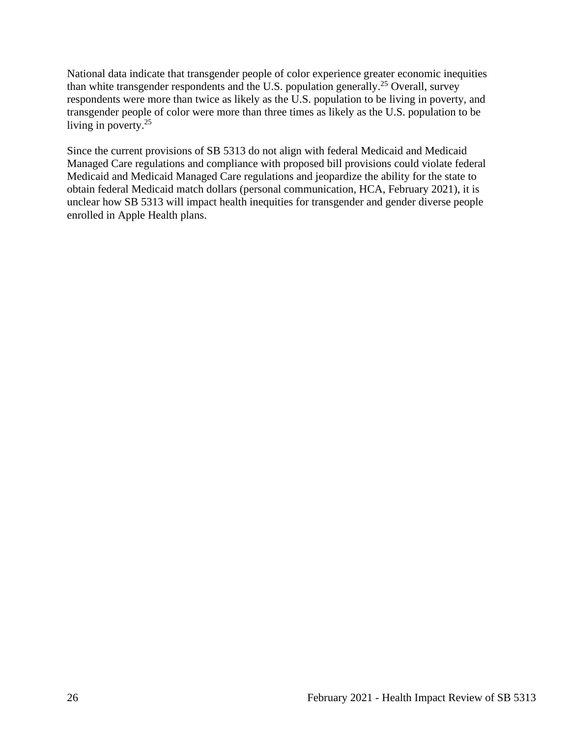National data indicate that transgender people of color experience greater economic inequities than white transgender respondents and the U.S. population generally.<sup>25</sup> Overall, survey respondents were more than twice as likely as the U.S. population to be living in poverty, and transgender people of color were more than three times as likely as the U.S. population to be living in poverty.<sup>25</sup>

<span id="page-25-0"></span>Since the current provisions of SB 5313 do not align with federal Medicaid and Medicaid Managed Care regulations and compliance with proposed bill provisions could violate federal Medicaid and Medicaid Managed Care regulations and jeopardize the ability for the state to obtain federal Medicaid match dollars (personal communication, HCA, February 2021), it is unclear how SB 5313 will impact health inequities for transgender and gender diverse people enrolled in Apple Health plans.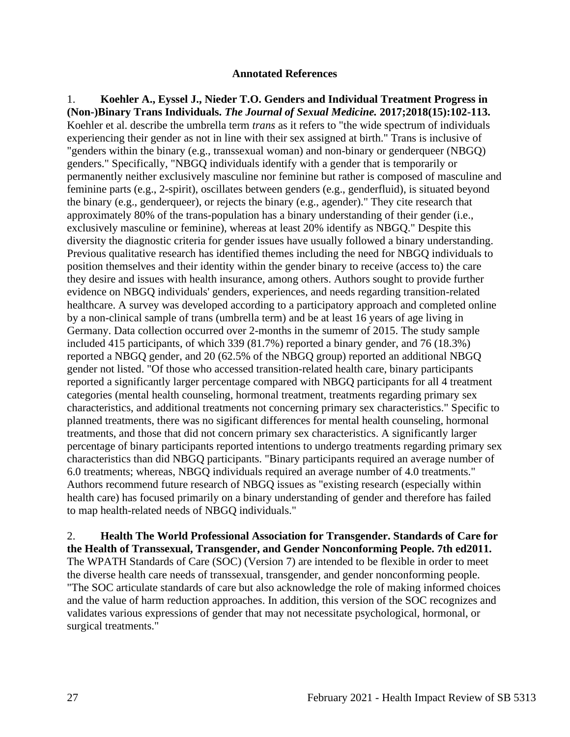#### **Annotated References**

1. **Koehler A., Eyssel J., Nieder T.O. Genders and Individual Treatment Progress in (Non-)Binary Trans Individuals.** *The Journal of Sexual Medicine.* **2017;2018(15):102-113.** Koehler et al. describe the umbrella term *trans* as it refers to "the wide spectrum of individuals experiencing their gender as not in line with their sex assigned at birth." Trans is inclusive of "genders within the binary (e.g., transsexual woman) and non-binary or genderqueer (NBGQ) genders." Specifically, "NBGQ individuals identify with a gender that is temporarily or permanently neither exclusively masculine nor feminine but rather is composed of masculine and feminine parts (e.g., 2-spirit), oscillates between genders (e.g., genderfluid), is situated beyond the binary (e.g., genderqueer), or rejects the binary (e.g., agender)." They cite research that approximately 80% of the trans-population has a binary understanding of their gender (i.e., exclusively masculine or feminine), whereas at least 20% identify as NBGQ." Despite this diversity the diagnostic criteria for gender issues have usually followed a binary understanding. Previous qualitative research has identified themes including the need for NBGQ individuals to position themselves and their identity within the gender binary to receive (access to) the care they desire and issues with health insurance, among others. Authors sought to provide further evidence on NBGQ individuals' genders, experiences, and needs regarding transition-related healthcare. A survey was developed according to a participatory approach and completed online by a non-clinical sample of trans (umbrella term) and be at least 16 years of age living in Germany. Data collection occurred over 2-months in the sumemr of 2015. The study sample included 415 participants, of which 339 (81.7%) reported a binary gender, and 76 (18.3%) reported a NBGQ gender, and 20 (62.5% of the NBGQ group) reported an additional NBGQ gender not listed. "Of those who accessed transition-related health care, binary participants reported a significantly larger percentage compared with NBGQ participants for all 4 treatment categories (mental health counseling, hormonal treatment, treatments regarding primary sex characteristics, and additional treatments not concerning primary sex characteristics." Specific to planned treatments, there was no sigificant differences for mental health counseling, hormonal treatments, and those that did not concern primary sex characteristics. A significantly larger percentage of binary participants reported intentions to undergo treatments regarding primary sex characteristics than did NBGQ participants. "Binary participants required an average number of 6.0 treatments; whereas, NBGQ individuals required an average number of 4.0 treatments." Authors recommend future research of NBGQ issues as "existing research (especially within health care) has focused primarily on a binary understanding of gender and therefore has failed to map health-related needs of NBGQ individuals."

2. **Health The World Professional Association for Transgender. Standards of Care for the Health of Transsexual, Transgender, and Gender Nonconforming People. 7th ed2011.** The WPATH Standards of Care (SOC) (Version 7) are intended to be flexible in order to meet the diverse health care needs of transsexual, transgender, and gender nonconforming people. "The SOC articulate standards of care but also acknowledge the role of making informed choices and the value of harm reduction approaches. In addition, this version of the SOC recognizes and validates various expressions of gender that may not necessitate psychological, hormonal, or surgical treatments."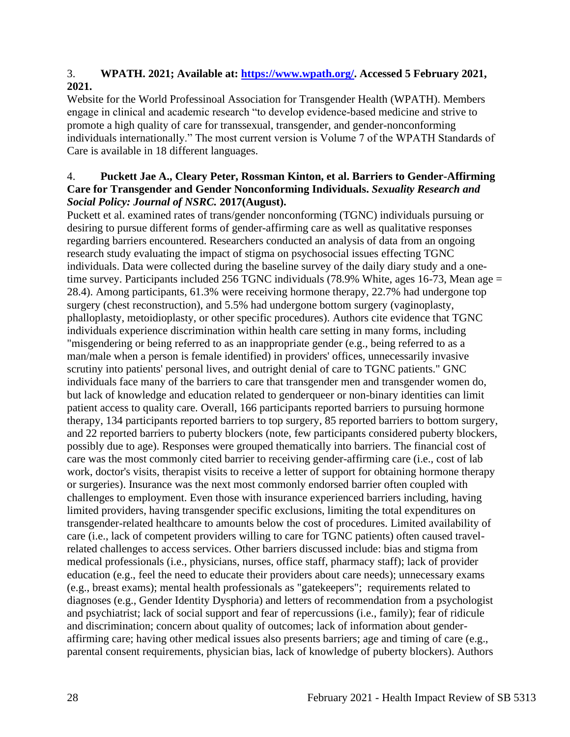## 3. **WPATH. 2021; Available at: [https://www.wpath.org/.](https://www.wpath.org/) Accessed 5 February 2021, 2021.**

Website for the World Professinoal Association for Transgender Health (WPATH). Members engage in clinical and academic research "to develop evidence-based medicine and strive to promote a high quality of care for transsexual, transgender, and gender-nonconforming individuals internationally." The most current version is Volume 7 of the WPATH Standards of Care is available in 18 different languages.

## 4. **Puckett Jae A., Cleary Peter, Rossman Kinton, et al. Barriers to Gender-Affirming Care for Transgender and Gender Nonconforming Individuals.** *Sexuality Research and Social Policy: Journal of NSRC.* **2017(August).**

Puckett et al. examined rates of trans/gender nonconforming (TGNC) individuals pursuing or desiring to pursue different forms of gender-affirming care as well as qualitative responses regarding barriers encountered. Researchers conducted an analysis of data from an ongoing research study evaluating the impact of stigma on psychosocial issues effecting TGNC individuals. Data were collected during the baseline survey of the daily diary study and a onetime survey. Participants included 256 TGNC individuals (78.9% White, ages 16-73, Mean age = 28.4). Among participants, 61.3% were receiving hormone therapy, 22.7% had undergone top surgery (chest reconstruction), and 5.5% had undergone bottom surgery (vaginoplasty, phalloplasty, metoidioplasty, or other specific procedures). Authors cite evidence that TGNC individuals experience discrimination within health care setting in many forms, including "misgendering or being referred to as an inappropriate gender (e.g., being referred to as a man/male when a person is female identified) in providers' offices, unnecessarily invasive scrutiny into patients' personal lives, and outright denial of care to TGNC patients." GNC individuals face many of the barriers to care that transgender men and transgender women do, but lack of knowledge and education related to genderqueer or non-binary identities can limit patient access to quality care. Overall, 166 participants reported barriers to pursuing hormone therapy, 134 participants reported barriers to top surgery, 85 reported barriers to bottom surgery, and 22 reported barriers to puberty blockers (note, few participants considered puberty blockers, possibly due to age). Responses were grouped thematically into barriers. The financial cost of care was the most commonly cited barrier to receiving gender-affirming care (i.e., cost of lab work, doctor's visits, therapist visits to receive a letter of support for obtaining hormone therapy or surgeries). Insurance was the next most commonly endorsed barrier often coupled with challenges to employment. Even those with insurance experienced barriers including, having limited providers, having transgender specific exclusions, limiting the total expenditures on transgender-related healthcare to amounts below the cost of procedures. Limited availability of care (i.e., lack of competent providers willing to care for TGNC patients) often caused travelrelated challenges to access services. Other barriers discussed include: bias and stigma from medical professionals (i.e., physicians, nurses, office staff, pharmacy staff); lack of provider education (e.g., feel the need to educate their providers about care needs); unnecessary exams (e.g., breast exams); mental health professionals as "gatekeepers"; requirements related to diagnoses (e.g., Gender Identity Dysphoria) and letters of recommendation from a psychologist and psychiatrist; lack of social support and fear of repercussions (i.e., family); fear of ridicule and discrimination; concern about quality of outcomes; lack of information about genderaffirming care; having other medical issues also presents barriers; age and timing of care (e.g., parental consent requirements, physician bias, lack of knowledge of puberty blockers). Authors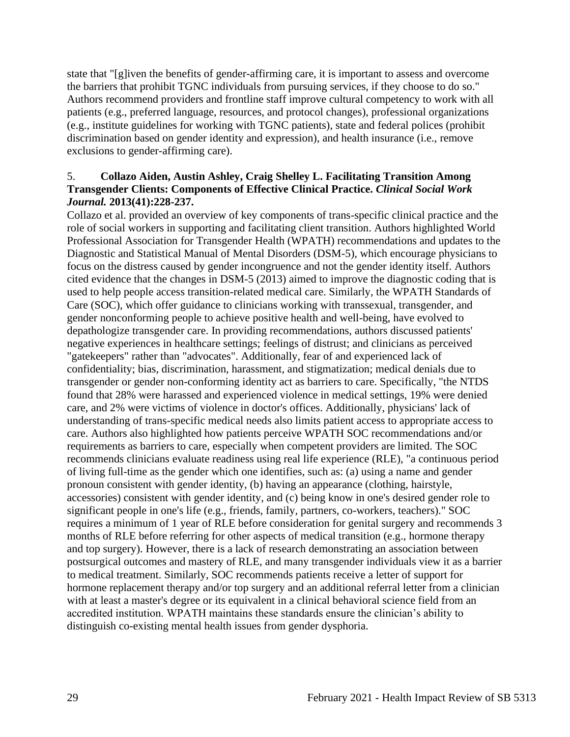state that "[g]iven the benefits of gender-affirming care, it is important to assess and overcome the barriers that prohibit TGNC individuals from pursuing services, if they choose to do so." Authors recommend providers and frontline staff improve cultural competency to work with all patients (e.g., preferred language, resources, and protocol changes), professional organizations (e.g., institute guidelines for working with TGNC patients), state and federal polices (prohibit discrimination based on gender identity and expression), and health insurance (i.e., remove exclusions to gender-affirming care).

### 5. **Collazo Aiden, Austin Ashley, Craig Shelley L. Facilitating Transition Among Transgender Clients: Components of Effective Clinical Practice.** *Clinical Social Work Journal.* **2013(41):228-237.**

Collazo et al. provided an overview of key components of trans-specific clinical practice and the role of social workers in supporting and facilitating client transition. Authors highlighted World Professional Association for Transgender Health (WPATH) recommendations and updates to the Diagnostic and Statistical Manual of Mental Disorders (DSM-5), which encourage physicians to focus on the distress caused by gender incongruence and not the gender identity itself. Authors cited evidence that the changes in DSM-5 (2013) aimed to improve the diagnostic coding that is used to help people access transition-related medical care. Similarly, the WPATH Standards of Care (SOC), which offer guidance to clinicians working with transsexual, transgender, and gender nonconforming people to achieve positive health and well-being, have evolved to depathologize transgender care. In providing recommendations, authors discussed patients' negative experiences in healthcare settings; feelings of distrust; and clinicians as perceived "gatekeepers" rather than "advocates". Additionally, fear of and experienced lack of confidentiality; bias, discrimination, harassment, and stigmatization; medical denials due to transgender or gender non-conforming identity act as barriers to care. Specifically, "the NTDS found that 28% were harassed and experienced violence in medical settings, 19% were denied care, and 2% were victims of violence in doctor's offices. Additionally, physicians' lack of understanding of trans-specific medical needs also limits patient access to appropriate access to care. Authors also highlighted how patients perceive WPATH SOC recommendations and/or requirements as barriers to care, especially when competent providers are limited. The SOC recommends clinicians evaluate readiness using real life experience (RLE), "a continuous period of living full-time as the gender which one identifies, such as: (a) using a name and gender pronoun consistent with gender identity, (b) having an appearance (clothing, hairstyle, accessories) consistent with gender identity, and (c) being know in one's desired gender role to significant people in one's life (e.g., friends, family, partners, co-workers, teachers)." SOC requires a minimum of 1 year of RLE before consideration for genital surgery and recommends 3 months of RLE before referring for other aspects of medical transition (e.g., hormone therapy and top surgery). However, there is a lack of research demonstrating an association between postsurgical outcomes and mastery of RLE, and many transgender individuals view it as a barrier to medical treatment. Similarly, SOC recommends patients receive a letter of support for hormone replacement therapy and/or top surgery and an additional referral letter from a clinician with at least a master's degree or its equivalent in a clinical behavioral science field from an accredited institution. WPATH maintains these standards ensure the clinician's ability to distinguish co-existing mental health issues from gender dysphoria.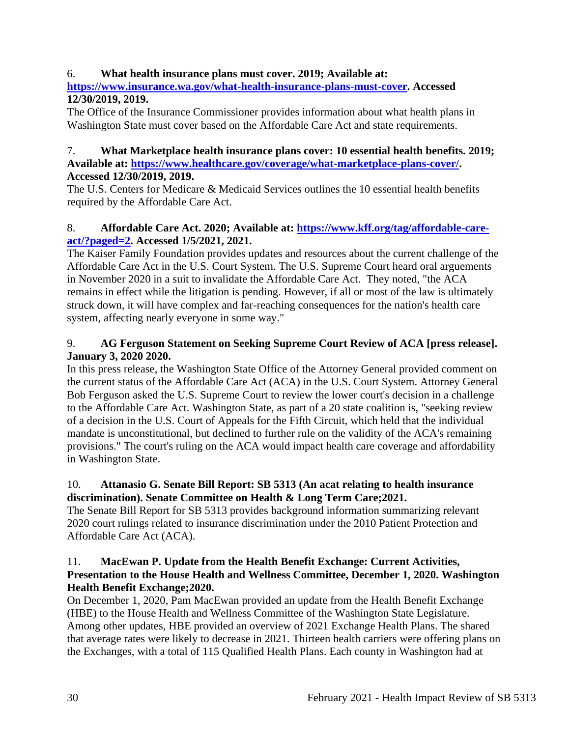## 6. **What health insurance plans must cover. 2019; Available at:**

**[https://www.insurance.wa.gov/what-health-insurance-plans-must-cover.](https://www.insurance.wa.gov/what-health-insurance-plans-must-cover) Accessed 12/30/2019, 2019.**

The Office of the Insurance Commissioner provides information about what health plans in Washington State must cover based on the Affordable Care Act and state requirements.

#### 7. **What Marketplace health insurance plans cover: 10 essential health benefits. 2019; Available at: [https://www.healthcare.gov/coverage/what-marketplace-plans-cover/.](https://www.healthcare.gov/coverage/what-marketplace-plans-cover/) Accessed 12/30/2019, 2019.**

The U.S. Centers for Medicare & Medicaid Services outlines the 10 essential health benefits required by the Affordable Care Act.

# 8. **Affordable Care Act. 2020; Available at: [https://www.kff.org/tag/affordable-care](https://www.kff.org/tag/affordable-care-act/?paged=2)[act/?paged=2.](https://www.kff.org/tag/affordable-care-act/?paged=2) Accessed 1/5/2021, 2021.**

The Kaiser Family Foundation provides updates and resources about the current challenge of the Affordable Care Act in the U.S. Court System. The U.S. Supreme Court heard oral arguements in November 2020 in a suit to invalidate the Affordable Care Act. They noted, "the ACA remains in effect while the litigation is pending. However, if all or most of the law is ultimately struck down, it will have complex and far-reaching consequences for the nation's health care system, affecting nearly everyone in some way."

# 9. **AG Ferguson Statement on Seeking Supreme Court Review of ACA [press release]. January 3, 2020 2020.**

In this press release, the Washington State Office of the Attorney General provided comment on the current status of the Affordable Care Act (ACA) in the U.S. Court System. Attorney General Bob Ferguson asked the U.S. Supreme Court to review the lower court's decision in a challenge to the Affordable Care Act. Washington State, as part of a 20 state coalition is, "seeking review of a decision in the U.S. Court of Appeals for the Fifth Circuit, which held that the individual mandate is unconstitutional, but declined to further rule on the validity of the ACA's remaining provisions." The court's ruling on the ACA would impact health care coverage and affordability in Washington State.

# 10. **Attanasio G. Senate Bill Report: SB 5313 (An acat relating to health insurance discrimination). Senate Committee on Health & Long Term Care;2021.**

The Senate Bill Report for SB 5313 provides background information summarizing relevant 2020 court rulings related to insurance discrimination under the 2010 Patient Protection and Affordable Care Act (ACA).

## 11. **MacEwan P. Update from the Health Benefit Exchange: Current Activities, Presentation to the House Health and Wellness Committee, December 1, 2020. Washington Health Benefit Exchange;2020.**

On December 1, 2020, Pam MacEwan provided an update from the Health Benefit Exchange (HBE) to the House Health and Wellness Committee of the Washington State Legislature. Among other updates, HBE provided an overview of 2021 Exchange Health Plans. The shared that average rates were likely to decrease in 2021. Thirteen health carriers were offering plans on the Exchanges, with a total of 115 Qualified Health Plans. Each county in Washington had at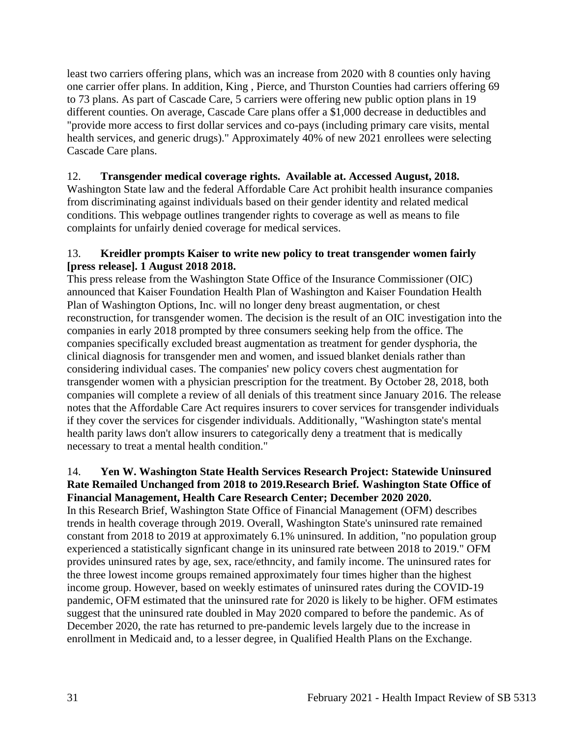least two carriers offering plans, which was an increase from 2020 with 8 counties only having one carrier offer plans. In addition, King , Pierce, and Thurston Counties had carriers offering 69 to 73 plans. As part of Cascade Care, 5 carriers were offering new public option plans in 19 different counties. On average, Cascade Care plans offer a \$1,000 decrease in deductibles and "provide more access to first dollar services and co-pays (including primary care visits, mental health services, and generic drugs)." Approximately 40% of new 2021 enrollees were selecting Cascade Care plans.

## 12. **Transgender medical coverage rights. Available at. Accessed August, 2018.**

Washington State law and the federal Affordable Care Act prohibit health insurance companies from discriminating against individuals based on their gender identity and related medical conditions. This webpage outlines trangender rights to coverage as well as means to file complaints for unfairly denied coverage for medical services.

### 13. **Kreidler prompts Kaiser to write new policy to treat transgender women fairly [press release]. 1 August 2018 2018.**

This press release from the Washington State Office of the Insurance Commissioner (OIC) announced that Kaiser Foundation Health Plan of Washington and Kaiser Foundation Health Plan of Washington Options, Inc. will no longer deny breast augmentation, or chest reconstruction, for transgender women. The decision is the result of an OIC investigation into the companies in early 2018 prompted by three consumers seeking help from the office. The companies specifically excluded breast augmentation as treatment for gender dysphoria, the clinical diagnosis for transgender men and women, and issued blanket denials rather than considering individual cases. The companies' new policy covers chest augmentation for transgender women with a physician prescription for the treatment. By October 28, 2018, both companies will complete a review of all denials of this treatment since January 2016. The release notes that the Affordable Care Act requires insurers to cover services for transgender individuals if they cover the services for cisgender individuals. Additionally, "Washington state's mental health parity laws don't allow insurers to categorically deny a treatment that is medically necessary to treat a mental health condition."

#### 14. **Yen W. Washington State Health Services Research Project: Statewide Uninsured Rate Remailed Unchanged from 2018 to 2019.Research Brief***.* **Washington State Office of Financial Management, Health Care Research Center; December 2020 2020.**

In this Research Brief, Washington State Office of Financial Management (OFM) describes trends in health coverage through 2019. Overall, Washington State's uninsured rate remained constant from 2018 to 2019 at approximately 6.1% uninsured. In addition, "no population group experienced a statistically signficant change in its uninsured rate between 2018 to 2019." OFM provides uninsured rates by age, sex, race/ethncity, and family income. The uninsured rates for the three lowest income groups remained approximately four times higher than the highest income group. However, based on weekly estimates of uninsured rates during the COVID-19 pandemic, OFM estimated that the uninsured rate for 2020 is likely to be higher. OFM estimates suggest that the uninsured rate doubled in May 2020 compared to before the pandemic. As of December 2020, the rate has returned to pre-pandemic levels largely due to the increase in enrollment in Medicaid and, to a lesser degree, in Qualified Health Plans on the Exchange.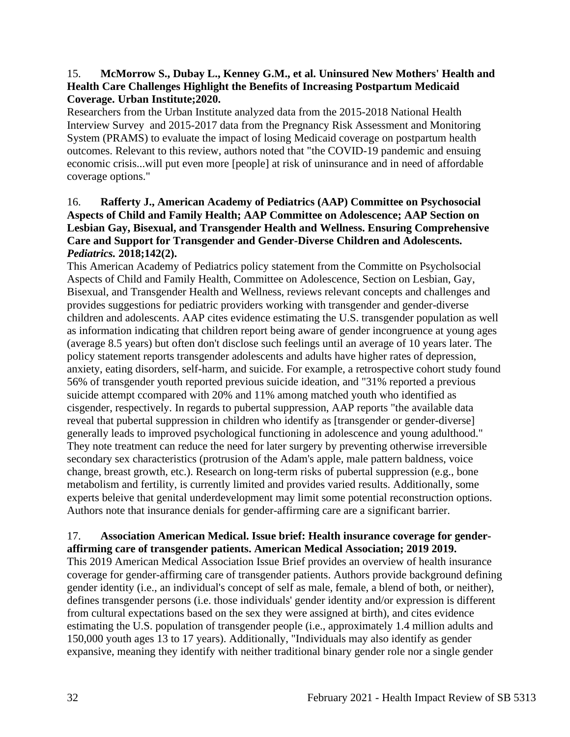### 15. **McMorrow S., Dubay L., Kenney G.M., et al. Uninsured New Mothers' Health and Health Care Challenges Highlight the Benefits of Increasing Postpartum Medicaid Coverage. Urban Institute;2020.**

Researchers from the Urban Institute analyzed data from the 2015-2018 National Health Interview Survey and 2015-2017 data from the Pregnancy Risk Assessment and Monitoring System (PRAMS) to evaluate the impact of losing Medicaid coverage on postpartum health outcomes. Relevant to this review, authors noted that "the COVID-19 pandemic and ensuing economic crisis...will put even more [people] at risk of uninsurance and in need of affordable coverage options."

## 16. **Rafferty J., American Academy of Pediatrics (AAP) Committee on Psychosocial Aspects of Child and Family Health; AAP Committee on Adolescence; AAP Section on Lesbian Gay, Bisexual, and Transgender Health and Wellness. Ensuring Comprehensive Care and Support for Transgender and Gender-Diverse Children and Adolescents.**  *Pediatrics.* **2018;142(2).**

This American Academy of Pediatrics policy statement from the Committe on Psycholsocial Aspects of Child and Family Health, Committee on Adolescence, Section on Lesbian, Gay, Bisexual, and Transgender Health and Wellness, reviews relevant concepts and challenges and provides suggestions for pediatric providers working with transgender and gender-diverse children and adolescents. AAP cites evidence estimating the U.S. transgender population as well as information indicating that children report being aware of gender incongruence at young ages (average 8.5 years) but often don't disclose such feelings until an average of 10 years later. The policy statement reports transgender adolescents and adults have higher rates of depression, anxiety, eating disorders, self-harm, and suicide. For example, a retrospective cohort study found 56% of transgender youth reported previous suicide ideation, and "31% reported a previous suicide attempt ccompared with 20% and 11% among matched youth who identified as cisgender, respectively. In regards to pubertal suppression, AAP reports "the available data reveal that pubertal suppression in children who identify as [transgender or gender-diverse] generally leads to improved psychological functioning in adolescence and young adulthood." They note treatment can reduce the need for later surgery by preventing otherwise irreversible secondary sex characteristics (protrusion of the Adam's apple, male pattern baldness, voice change, breast growth, etc.). Research on long-term risks of pubertal suppression (e.g., bone metabolism and fertility, is currently limited and provides varied results. Additionally, some experts beleive that genital underdevelopment may limit some potential reconstruction options. Authors note that insurance denials for gender-affirming care are a significant barrier.

## 17. **Association American Medical. Issue brief: Health insurance coverage for genderaffirming care of transgender patients. American Medical Association; 2019 2019.**

This 2019 American Medical Association Issue Brief provides an overview of health insurance coverage for gender-affirming care of transgender patients. Authors provide background defining gender identity (i.e., an individual's concept of self as male, female, a blend of both, or neither), defines transgender persons (i.e. those individuals' gender identity and/or expression is different from cultural expectations based on the sex they were assigned at birth), and cites evidence estimating the U.S. population of transgender people (i.e., approximately 1.4 million adults and 150,000 youth ages 13 to 17 years). Additionally, "Individuals may also identify as gender expansive, meaning they identify with neither traditional binary gender role nor a single gender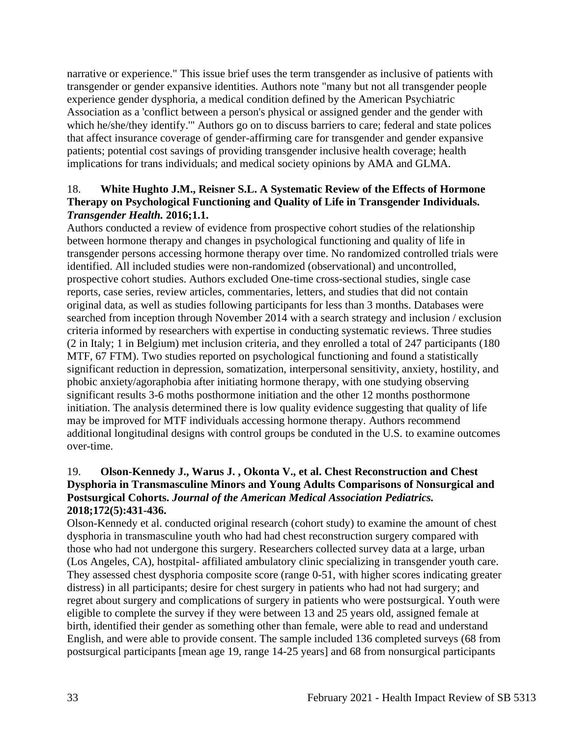narrative or experience." This issue brief uses the term transgender as inclusive of patients with transgender or gender expansive identities. Authors note "many but not all transgender people experience gender dysphoria, a medical condition defined by the American Psychiatric Association as a 'conflict between a person's physical or assigned gender and the gender with which he/she/they identify.'" Authors go on to discuss barriers to care; federal and state polices that affect insurance coverage of gender-affirming care for transgender and gender expansive patients; potential cost savings of providing transgender inclusive health coverage; health implications for trans individuals; and medical society opinions by AMA and GLMA.

## 18. **White Hughto J.M., Reisner S.L. A Systematic Review of the Effects of Hormone Therapy on Psychological Functioning and Quality of Life in Transgender Individuals.**  *Transgender Health.* **2016;1.1.**

Authors conducted a review of evidence from prospective cohort studies of the relationship between hormone therapy and changes in psychological functioning and quality of life in transgender persons accessing hormone therapy over time. No randomized controlled trials were identified. All included studies were non-randomized (observational) and uncontrolled, prospective cohort studies. Authors excluded One-time cross-sectional studies, single case reports, case series, review articles, commentaries, letters, and studies that did not contain original data, as well as studies following participants for less than 3 months. Databases were searched from inception through November 2014 with a search strategy and inclusion / exclusion criteria informed by researchers with expertise in conducting systematic reviews. Three studies (2 in Italy; 1 in Belgium) met inclusion criteria, and they enrolled a total of 247 participants (180 MTF, 67 FTM). Two studies reported on psychological functioning and found a statistically significant reduction in depression, somatization, interpersonal sensitivity, anxiety, hostility, and phobic anxiety/agoraphobia after initiating hormone therapy, with one studying observing significant results 3-6 moths posthormone initiation and the other 12 months posthormone initiation. The analysis determined there is low quality evidence suggesting that quality of life may be improved for MTF individuals accessing hormone therapy. Authors recommend additional longitudinal designs with control groups be conduted in the U.S. to examine outcomes over-time.

## 19. **Olson-Kennedy J., Warus J. , Okonta V., et al. Chest Reconstruction and Chest Dysphoria in Transmasculine Minors and Young Adults Comparisons of Nonsurgical and Postsurgical Cohorts.** *Journal of the American Medical Association Pediatrics.*  **2018;172(5):431-436.**

Olson-Kennedy et al. conducted original research (cohort study) to examine the amount of chest dysphoria in transmasculine youth who had had chest reconstruction surgery compared with those who had not undergone this surgery. Researchers collected survey data at a large, urban (Los Angeles, CA), hostpital- affiliated ambulatory clinic specializing in transgender youth care. They assessed chest dysphoria composite score (range 0-51, with higher scores indicating greater distress) in all participants; desire for chest surgery in patients who had not had surgery; and regret about surgery and complications of surgery in patients who were postsurgical. Youth were eligible to complete the survey if they were between 13 and 25 years old, assigned female at birth, identified their gender as something other than female, were able to read and understand English, and were able to provide consent. The sample included 136 completed surveys (68 from postsurgical participants [mean age 19, range 14-25 years] and 68 from nonsurgical participants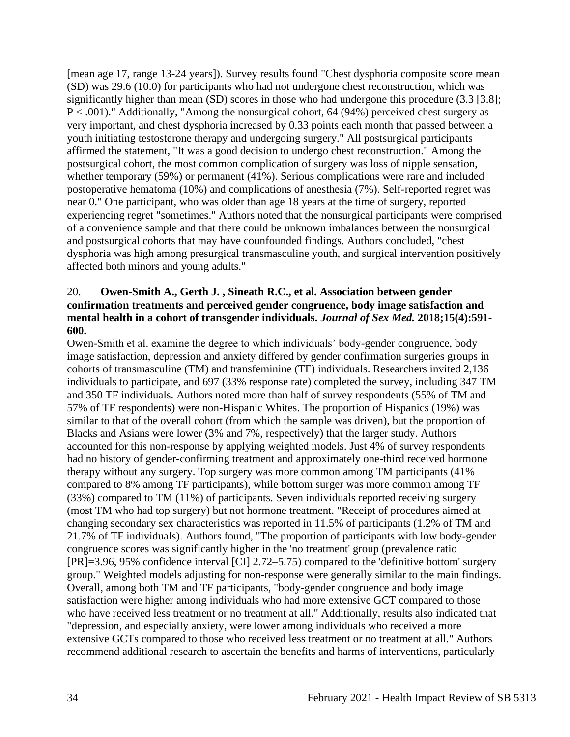[mean age 17, range 13-24 years]). Survey results found "Chest dysphoria composite score mean (SD) was 29.6 (10.0) for participants who had not undergone chest reconstruction, which was significantly higher than mean (SD) scores in those who had undergone this procedure (3.3 [3.8]; P < .001)." Additionally, "Among the nonsurgical cohort, 64 (94%) perceived chest surgery as very important, and chest dysphoria increased by 0.33 points each month that passed between a youth initiating testosterone therapy and undergoing surgery." All postsurgical participants affirmed the statement, "It was a good decision to undergo chest reconstruction." Among the postsurgical cohort, the most common complication of surgery was loss of nipple sensation, whether temporary (59%) or permanent (41%). Serious complications were rare and included postoperative hematoma (10%) and complications of anesthesia (7%). Self-reported regret was near 0." One participant, who was older than age 18 years at the time of surgery, reported experiencing regret "sometimes." Authors noted that the nonsurgical participants were comprised of a convenience sample and that there could be unknown imbalances between the nonsurgical and postsurgical cohorts that may have counfounded findings. Authors concluded, "chest dysphoria was high among presurgical transmasculine youth, and surgical intervention positively affected both minors and young adults."

## 20. **Owen-Smith A., Gerth J. , Sineath R.C., et al. Association between gender confirmation treatments and perceived gender congruence, body image satisfaction and mental health in a cohort of transgender individuals.** *Journal of Sex Med.* **2018;15(4):591- 600.**

Owen-Smith et al. examine the degree to which individuals' body-gender congruence, body image satisfaction, depression and anxiety differed by gender confirmation surgeries groups in cohorts of transmasculine (TM) and transfeminine (TF) individuals. Researchers invited 2,136 individuals to participate, and 697 (33% response rate) completed the survey, including 347 TM and 350 TF individuals. Authors noted more than half of survey respondents (55% of TM and 57% of TF respondents) were non-Hispanic Whites. The proportion of Hispanics (19%) was similar to that of the overall cohort (from which the sample was driven), but the proportion of Blacks and Asians were lower (3% and 7%, respectively) that the larger study. Authors accounted for this non-response by applying weighted models. Just 4% of survey respondents had no history of gender-confirming treatment and approximately one-third received hormone therapy without any surgery. Top surgery was more common among TM participants (41% compared to 8% among TF participants), while bottom surger was more common among TF (33%) compared to TM (11%) of participants. Seven individuals reported receiving surgery (most TM who had top surgery) but not hormone treatment. "Receipt of procedures aimed at changing secondary sex characteristics was reported in 11.5% of participants (1.2% of TM and 21.7% of TF individuals). Authors found, "The proportion of participants with low body-gender congruence scores was significantly higher in the 'no treatment' group (prevalence ratio [PR]=3.96, 95% confidence interval [CI] 2.72–5.75) compared to the 'definitive bottom' surgery group." Weighted models adjusting for non-response were generally similar to the main findings. Overall, among both TM and TF participants, "body-gender congruence and body image satisfaction were higher among individuals who had more extensive GCT compared to those who have received less treatment or no treatment at all." Additionally, results also indicated that "depression, and especially anxiety, were lower among individuals who received a more extensive GCTs compared to those who received less treatment or no treatment at all." Authors recommend additional research to ascertain the benefits and harms of interventions, particularly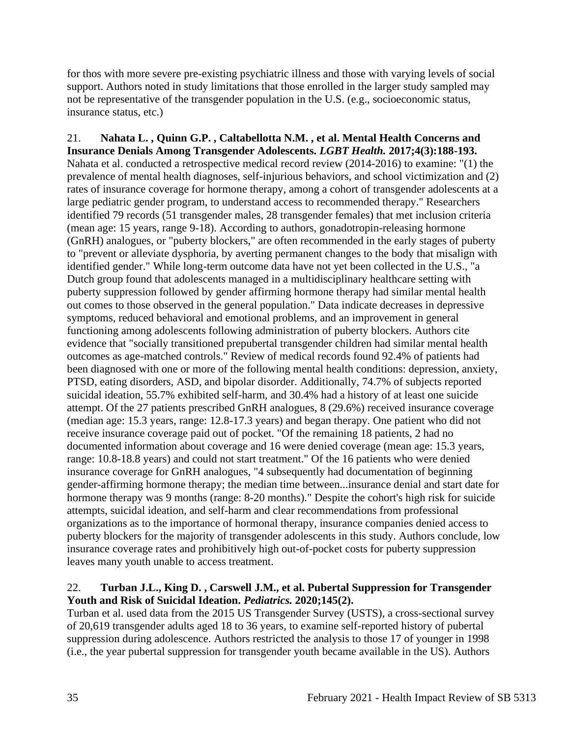for thos with more severe pre-existing psychiatric illness and those with varying levels of social support. Authors noted in study limitations that those enrolled in the larger study sampled may not be representative of the transgender population in the U.S. (e.g., socioeconomic status, insurance status, etc.)

21. **Nahata L. , Quinn G.P. , Caltabellotta N.M. , et al. Mental Health Concerns and Insurance Denials Among Transgender Adolescents.** *LGBT Health.* **2017;4(3):188-193.** Nahata et al. conducted a retrospective medical record review (2014-2016) to examine: "(1) the prevalence of mental health diagnoses, self-injurious behaviors, and school victimization and (2) rates of insurance coverage for hormone therapy, among a cohort of transgender adolescents at a large pediatric gender program, to understand access to recommended therapy." Researchers identified 79 records (51 transgender males, 28 transgender females) that met inclusion criteria (mean age: 15 years, range 9-18). According to authors, gonadotropin-releasing hormone (GnRH) analogues, or "puberty blockers," are often recommended in the early stages of puberty to "prevent or alleviate dysphoria, by averting permanent changes to the body that misalign with identified gender." While long-term outcome data have not yet been collected in the U.S., "a Dutch group found that adolescents managed in a multidisciplinary healthcare setting with puberty suppression followed by gender affirming hormone therapy had similar mental health out comes to those observed in the general population." Data indicate decreases in depressive symptoms, reduced behavioral and emotional problems, and an improvement in general functioning among adolescents following administration of puberty blockers. Authors cite evidence that "socially transitioned prepubertal transgender children had similar mental health outcomes as age-matched controls." Review of medical records found 92.4% of patients had been diagnosed with one or more of the following mental health conditions: depression, anxiety, PTSD, eating disorders, ASD, and bipolar disorder. Additionally, 74.7% of subjects reported suicidal ideation, 55.7% exhibited self-harm, and 30.4% had a history of at least one suicide attempt. Of the 27 patients prescribed GnRH analogues, 8 (29.6%) received insurance coverage (median age: 15.3 years, range: 12.8-17.3 years) and began therapy. One patient who did not receive insurance coverage paid out of pocket. "Of the remaining 18 patients, 2 had no documented information about coverage and 16 were denied coverage (mean age: 15.3 years, range: 10.8-18.8 years) and could not start treatment." Of the 16 patients who were denied insurance coverage for GnRH analogues, "4 subsequently had documentation of beginning gender-affirming hormone therapy; the median time between...insurance denial and start date for hormone therapy was 9 months (range: 8-20 months)." Despite the cohort's high risk for suicide attempts, suicidal ideation, and self-harm and clear recommendations from professional organizations as to the importance of hormonal therapy, insurance companies denied access to puberty blockers for the majority of transgender adolescents in this study. Authors conclude, low insurance coverage rates and prohibitively high out-of-pocket costs for puberty suppression leaves many youth unable to access treatment.

### 22. **Turban J.L., King D. , Carswell J.M., et al. Pubertal Suppression for Transgender Youth and Risk of Suicidal Ideation.** *Pediatrics.* **2020;145(2).**

Turban et al. used data from the 2015 US Transgender Survey (USTS), a cross-sectional survey of 20,619 transgender adults aged 18 to 36 years, to examine self-reported history of pubertal suppression during adolescence. Authors restricted the analysis to those 17 of younger in 1998 (i.e., the year pubertal suppression for transgender youth became available in the US). Authors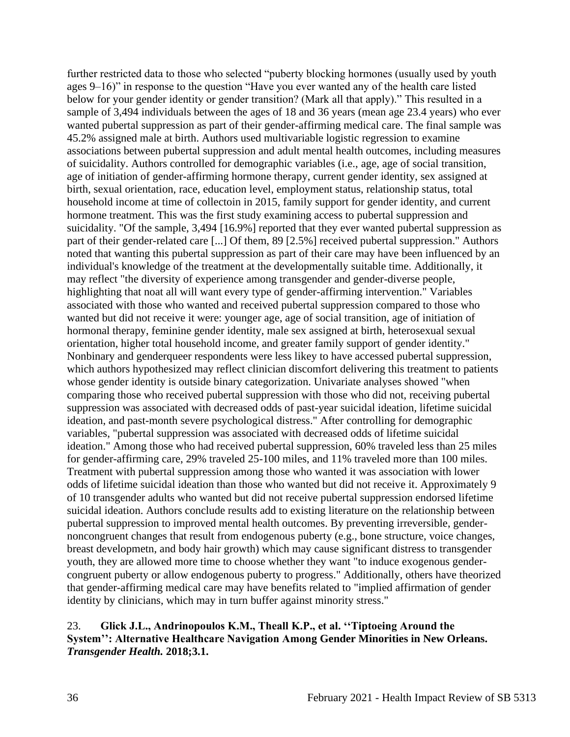further restricted data to those who selected "puberty blocking hormones (usually used by youth ages 9–16)" in response to the question "Have you ever wanted any of the health care listed below for your gender identity or gender transition? (Mark all that apply)." This resulted in a sample of 3,494 individuals between the ages of 18 and 36 years (mean age 23.4 years) who ever wanted pubertal suppression as part of their gender-affirming medical care. The final sample was 45.2% assigned male at birth. Authors used multivariable logistic regression to examine associations between pubertal suppression and adult mental health outcomes, including measures of suicidality. Authors controlled for demographic variables (i.e., age, age of social transition, age of initiation of gender-affirming hormone therapy, current gender identity, sex assigned at birth, sexual orientation, race, education level, employment status, relationship status, total household income at time of collectoin in 2015, family support for gender identity, and current hormone treatment. This was the first study examining access to pubertal suppression and suicidality. "Of the sample, 3,494 [16.9%] reported that they ever wanted pubertal suppression as part of their gender-related care [...] Of them, 89 [2.5%] received pubertal suppression." Authors noted that wanting this pubertal suppression as part of their care may have been influenced by an individual's knowledge of the treatment at the developmentally suitable time. Additionally, it may reflect "the diversity of experience among transgender and gender-diverse people, highlighting that noat all will want every type of gender-affirming intervention." Variables associated with those who wanted and received pubertal suppression compared to those who wanted but did not receive it were: younger age, age of social transition, age of initiation of hormonal therapy, feminine gender identity, male sex assigned at birth, heterosexual sexual orientation, higher total household income, and greater family support of gender identity." Nonbinary and genderqueer respondents were less likey to have accessed pubertal suppression, which authors hypothesized may reflect clinician discomfort delivering this treatment to patients whose gender identity is outside binary categorization. Univariate analyses showed "when comparing those who received pubertal suppression with those who did not, receiving pubertal suppression was associated with decreased odds of past-year suicidal ideation, lifetime suicidal ideation, and past-month severe psychological distress." After controlling for demographic variables, "pubertal suppression was associated with decreased odds of lifetime suicidal ideation." Among those who had received pubertal suppression, 60% traveled less than 25 miles for gender-affirming care, 29% traveled 25-100 miles, and 11% traveled more than 100 miles. Treatment with pubertal suppression among those who wanted it was association with lower odds of lifetime suicidal ideation than those who wanted but did not receive it. Approximately 9 of 10 transgender adults who wanted but did not receive pubertal suppression endorsed lifetime suicidal ideation. Authors conclude results add to existing literature on the relationship between pubertal suppression to improved mental health outcomes. By preventing irreversible, gendernoncongruent changes that result from endogenous puberty (e.g., bone structure, voice changes, breast developmetn, and body hair growth) which may cause significant distress to transgender youth, they are allowed more time to choose whether they want "to induce exogenous gendercongruent puberty or allow endogenous puberty to progress." Additionally, others have theorized that gender-affirming medical care may have benefits related to "implied affirmation of gender identity by clinicians, which may in turn buffer against minority stress."

## 23. **Glick J.L., Andrinopoulos K.M., Theall K.P., et al. ''Tiptoeing Around the System'': Alternative Healthcare Navigation Among Gender Minorities in New Orleans.**  *Transgender Health.* **2018;3.1.**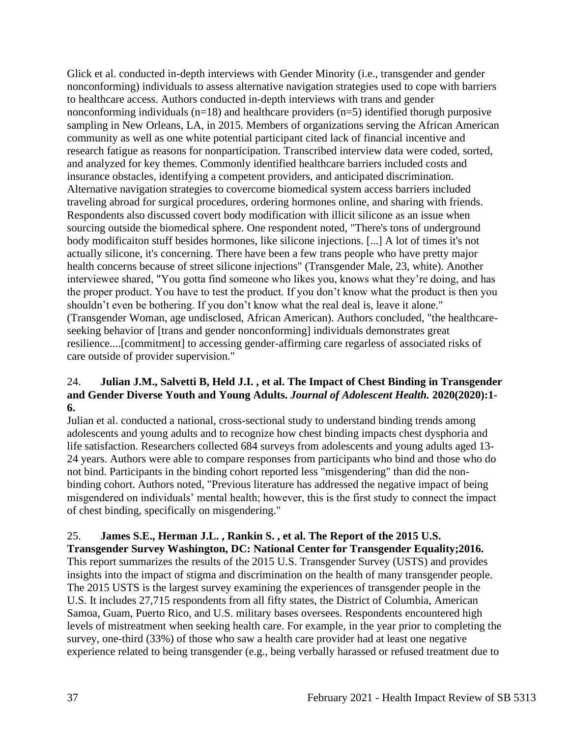Glick et al. conducted in-depth interviews with Gender Minority (i.e., transgender and gender nonconforming) individuals to assess alternative navigation strategies used to cope with barriers to healthcare access. Authors conducted in-depth interviews with trans and gender nonconforming individuals  $(n=18)$  and healthcare providers  $(n=5)$  identified thorugh purposive sampling in New Orleans, LA, in 2015. Members of organizations serving the African American community as well as one white potential participant cited lack of financial incentive and research fatigue as reasons for nonparticipation. Transcribed interview data were coded, sorted, and analyzed for key themes. Commonly identified healthcare barriers included costs and insurance obstacles, identifying a competent providers, and anticipated discrimination. Alternative navigation strategies to covercome biomedical system access barriers included traveling abroad for surgical procedures, ordering hormones online, and sharing with friends. Respondents also discussed covert body modification with illicit silicone as an issue when sourcing outside the biomedical sphere. One respondent noted, "There's tons of underground body modificaiton stuff besides hormones, like silicone injections. [...] A lot of times it's not actually silicone, it's concerning. There have been a few trans people who have pretty major health concerns because of street silicone injections" (Transgender Male, 23, white). Another interviewee shared, "You gotta find someone who likes you, knows what they're doing, and has the proper product. You have to test the product. If you don't know what the product is then you shouldn't even be bothering. If you don't know what the real deal is, leave it alone." (Transgender Woman, age undisclosed, African American). Authors concluded, "the healthcareseeking behavior of [trans and gender nonconforming] individuals demonstrates great resilience....[commitment] to accessing gender-affirming care regarless of associated risks of care outside of provider supervision."

## 24. **Julian J.M., Salvetti B, Held J.I. , et al. The Impact of Chest Binding in Transgender and Gender Diverse Youth and Young Adults.** *Journal of Adolescent Health.* **2020(2020):1- 6.**

Julian et al. conducted a national, cross-sectional study to understand binding trends among adolescents and young adults and to recognize how chest binding impacts chest dysphoria and life satisfaction. Researchers collected 684 surveys from adolescents and young adults aged 13- 24 years. Authors were able to compare responses from participants who bind and those who do not bind. Participants in the binding cohort reported less "misgendering" than did the nonbinding cohort. Authors noted, "Previous literature has addressed the negative impact of being misgendered on individuals' mental health; however, this is the first study to connect the impact of chest binding, specifically on misgendering."

# 25. **James S.E., Herman J.L. , Rankin S. , et al. The Report of the 2015 U.S.**

**Transgender Survey Washington, DC: National Center for Transgender Equality;2016.** This report summarizes the results of the 2015 U.S. Transgender Survey (USTS) and provides insights into the impact of stigma and discrimination on the health of many transgender people. The 2015 USTS is the largest survey examining the experiences of transgender people in the U.S. It includes 27,715 respondents from all fifty states, the District of Columbia, American Samoa, Guam, Puerto Rico, and U.S. military bases oversees. Respondents encountered high levels of mistreatment when seeking health care. For example, in the year prior to completing the survey, one-third (33%) of those who saw a health care provider had at least one negative experience related to being transgender (e.g., being verbally harassed or refused treatment due to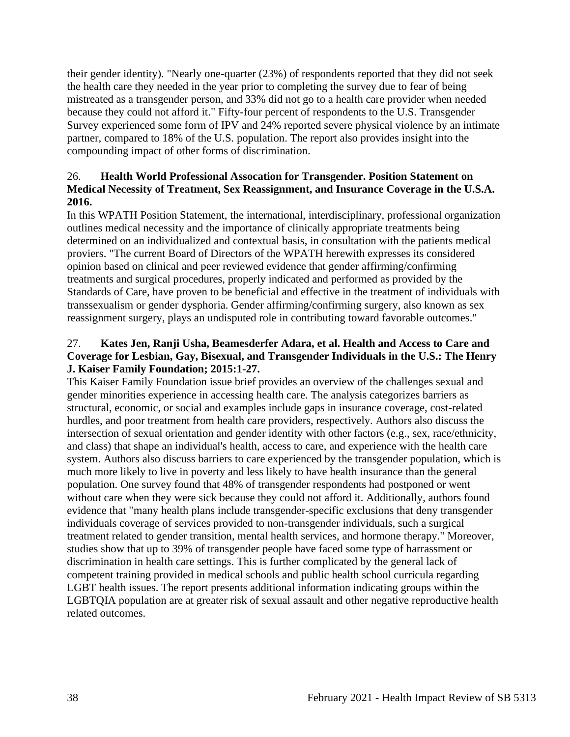their gender identity). "Nearly one-quarter (23%) of respondents reported that they did not seek the health care they needed in the year prior to completing the survey due to fear of being mistreated as a transgender person, and 33% did not go to a health care provider when needed because they could not afford it." Fifty-four percent of respondents to the U.S. Transgender Survey experienced some form of IPV and 24% reported severe physical violence by an intimate partner, compared to 18% of the U.S. population. The report also provides insight into the compounding impact of other forms of discrimination.

## 26. **Health World Professional Assocation for Transgender. Position Statement on Medical Necessity of Treatment, Sex Reassignment, and Insurance Coverage in the U.S.A. 2016.**

In this WPATH Position Statement, the international, interdisciplinary, professional organization outlines medical necessity and the importance of clinically appropriate treatments being determined on an individualized and contextual basis, in consultation with the patients medical proviers. "The current Board of Directors of the WPATH herewith expresses its considered opinion based on clinical and peer reviewed evidence that gender affirming/confirming treatments and surgical procedures, properly indicated and performed as provided by the Standards of Care, have proven to be beneficial and effective in the treatment of individuals with transsexualism or gender dysphoria. Gender affirming/confirming surgery, also known as sex reassignment surgery, plays an undisputed role in contributing toward favorable outcomes."

## 27. **Kates Jen, Ranji Usha, Beamesderfer Adara, et al. Health and Access to Care and Coverage for Lesbian, Gay, Bisexual, and Transgender Individuals in the U.S.: The Henry J. Kaiser Family Foundation; 2015:1-27.**

This Kaiser Family Foundation issue brief provides an overview of the challenges sexual and gender minorities experience in accessing health care. The analysis categorizes barriers as structural, economic, or social and examples include gaps in insurance coverage, cost-related hurdles, and poor treatment from health care providers, respectively. Authors also discuss the intersection of sexual orientation and gender identity with other factors (e.g., sex, race/ethnicity, and class) that shape an individual's health, access to care, and experience with the health care system. Authors also discuss barriers to care experienced by the transgender population, which is much more likely to live in poverty and less likely to have health insurance than the general population. One survey found that 48% of transgender respondents had postponed or went without care when they were sick because they could not afford it. Additionally, authors found evidence that "many health plans include transgender-specific exclusions that deny transgender individuals coverage of services provided to non-transgender individuals, such a surgical treatment related to gender transition, mental health services, and hormone therapy." Moreover, studies show that up to 39% of transgender people have faced some type of harrassment or discrimination in health care settings. This is further complicated by the general lack of competent training provided in medical schools and public health school curricula regarding LGBT health issues. The report presents additional information indicating groups within the LGBTQIA population are at greater risk of sexual assault and other negative reproductive health related outcomes.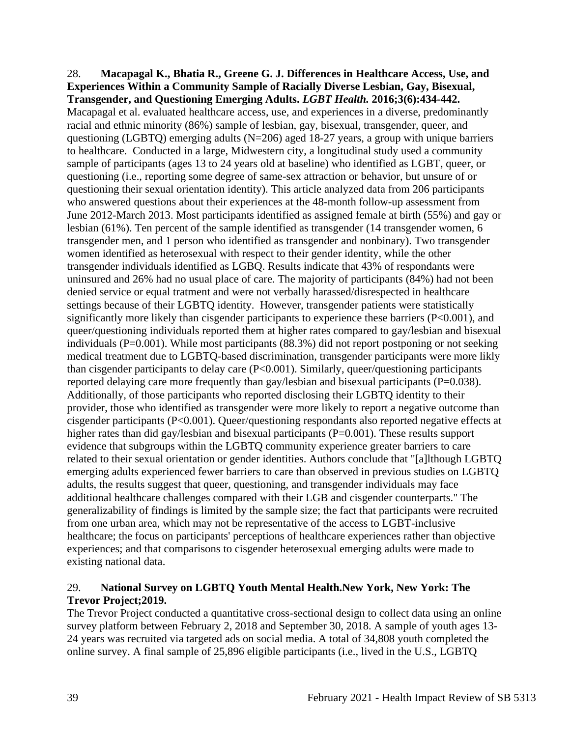#### 28. **Macapagal K., Bhatia R., Greene G. J. Differences in Healthcare Access, Use, and Experiences Within a Community Sample of Racially Diverse Lesbian, Gay, Bisexual, Transgender, and Questioning Emerging Adults.** *LGBT Health.* **2016;3(6):434-442.**

Macapagal et al. evaluated healthcare access, use, and experiences in a diverse, predominantly racial and ethnic minority (86%) sample of lesbian, gay, bisexual, transgender, queer, and questioning (LGBTQ) emerging adults (N=206) aged 18-27 years, a group with unique barriers to healthcare. Conducted in a large, Midwestern city, a longitudinal study used a community sample of participants (ages 13 to 24 years old at baseline) who identified as LGBT, queer, or questioning (i.e., reporting some degree of same-sex attraction or behavior, but unsure of or questioning their sexual orientation identity). This article analyzed data from 206 participants who answered questions about their experiences at the 48-month follow-up assessment from June 2012-March 2013. Most participants identified as assigned female at birth (55%) and gay or lesbian (61%). Ten percent of the sample identified as transgender (14 transgender women, 6 transgender men, and 1 person who identified as transgender and nonbinary). Two transgender women identified as heterosexual with respect to their gender identity, while the other transgender individuals identified as LGBQ. Results indicate that 43% of respondants were uninsured and 26% had no usual place of care. The majority of participants (84%) had not been denied service or equal tratment and were not verbally harassed/disrespected in healthcare settings because of their LGBTQ identity. However, transgender patients were statistically significantly more likely than cisgender participants to experience these barriers (P<0.001), and queer/questioning individuals reported them at higher rates compared to gay/lesbian and bisexual individuals (P=0.001). While most participants (88.3%) did not report postponing or not seeking medical treatment due to LGBTQ-based discrimination, transgender participants were more likly than cisgender participants to delay care (P<0.001). Similarly, queer/questioning participants reported delaying care more frequently than gay/lesbian and bisexual participants (P=0.038). Additionally, of those participants who reported disclosing their LGBTQ identity to their provider, those who identified as transgender were more likely to report a negative outcome than cisgender participants (P<0.001). Queer/questioning respondants also reported negative effects at higher rates than did gay/lesbian and bisexual participants (P=0.001). These results support evidence that subgroups within the LGBTQ community experience greater barriers to care related to their sexual orientation or gender identities. Authors conclude that "[a]lthough LGBTQ emerging adults experienced fewer barriers to care than observed in previous studies on LGBTQ adults, the results suggest that queer, questioning, and transgender individuals may face additional healthcare challenges compared with their LGB and cisgender counterparts." The generalizability of findings is limited by the sample size; the fact that participants were recruited from one urban area, which may not be representative of the access to LGBT-inclusive healthcare; the focus on participants' perceptions of healthcare experiences rather than objective experiences; and that comparisons to cisgender heterosexual emerging adults were made to existing national data.

## 29. **National Survey on LGBTQ Youth Mental Health.New York, New York: The Trevor Project;2019.**

The Trevor Project conducted a quantitative cross-sectional design to collect data using an online survey platform between February 2, 2018 and September 30, 2018. A sample of youth ages 13- 24 years was recruited via targeted ads on social media. A total of 34,808 youth completed the online survey. A final sample of 25,896 eligible participants (i.e., lived in the U.S., LGBTQ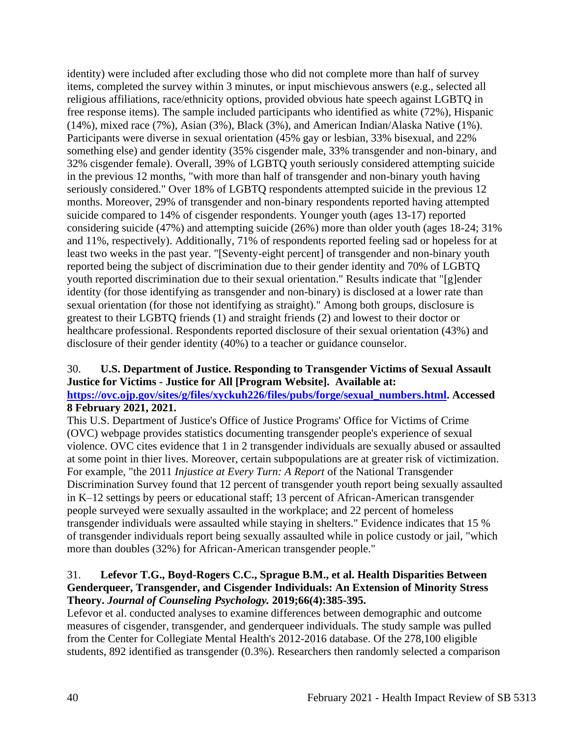identity) were included after excluding those who did not complete more than half of survey items, completed the survey within 3 minutes, or input mischievous answers (e.g., selected all religious affiliations, race/ethnicity options, provided obvious hate speech against LGBTQ in free response items). The sample included participants who identified as white (72%), Hispanic (14%), mixed race (7%), Asian (3%), Black (3%), and American Indian/Alaska Native (1%). Participants were diverse in sexual orientation (45% gay or lesbian, 33% bisexual, and 22% something else) and gender identity (35% cisgender male, 33% transgender and non-binary, and 32% cisgender female). Overall, 39% of LGBTQ youth seriously considered attempting suicide in the previous 12 months, "with more than half of transgender and non-binary youth having seriously considered." Over 18% of LGBTQ respondents attempted suicide in the previous 12 months. Moreover, 29% of transgender and non-binary respondents reported having attempted suicide compared to 14% of cisgender respondents. Younger youth (ages 13-17) reported considering suicide (47%) and attempting suicide (26%) more than older youth (ages 18-24; 31% and 11%, respectively). Additionally, 71% of respondents reported feeling sad or hopeless for at least two weeks in the past year. "[Seventy-eight percent] of transgender and non-binary youth reported being the subject of discrimination due to their gender identity and 70% of LGBTQ youth reported discrimination due to their sexual orientation." Results indicate that "[g]ender identity (for those identifying as transgender and non-binary) is disclosed at a lower rate than sexual orientation (for those not identifying as straight)." Among both groups, disclosure is greatest to their LGBTQ friends (1) and straight friends (2) and lowest to their doctor or healthcare professional. Respondents reported disclosure of their sexual orientation (43%) and disclosure of their gender identity (40%) to a teacher or guidance counselor.

### 30. **U.S. Department of Justice. Responding to Transgender Victims of Sexual Assault Justice for Victims - Justice for All [Program Website]. Available at:**

## **[https://ovc.ojp.gov/sites/g/files/xyckuh226/files/pubs/forge/sexual\\_numbers.html.](https://ovc.ojp.gov/sites/g/files/xyckuh226/files/pubs/forge/sexual_numbers.html) Accessed 8 February 2021, 2021.**

This U.S. Department of Justice's Office of Justice Programs' Office for Victims of Crime (OVC) webpage provides statistics documenting transgender people's experience of sexual violence. OVC cites evidence that 1 in 2 transgender individuals are sexually abused or assaulted at some point in thier lives. Moreover, certain subpopulations are at greater risk of victimization. For example, "the 2011 *Injustice at Every Turn: A Report* of the National Transgender Discrimination Survey found that 12 percent of transgender youth report being sexually assaulted in K–12 settings by peers or educational staff; 13 percent of African-American transgender people surveyed were sexually assaulted in the workplace; and 22 percent of homeless transgender individuals were assaulted while staying in shelters." Evidence indicates that 15 % of transgender individuals report being sexually assaulted while in police custody or jail, "which more than doubles (32%) for African-American transgender people."

### 31. **Lefevor T.G., Boyd-Rogers C.C., Sprague B.M., et al. Health Disparities Between Genderqueer, Transgender, and Cisgender Individuals: An Extension of Minority Stress Theory.** *Journal of Counseling Psychology.* **2019;66(4):385-395.**

Lefevor et al. conducted analyses to examine differences between demographic and outcome measures of cisgender, transgender, and genderqueer individuals. The study sample was pulled from the Center for Collegiate Mental Health's 2012-2016 database. Of the 278,100 eligible students, 892 identified as transgender (0.3%). Researchers then randomly selected a comparison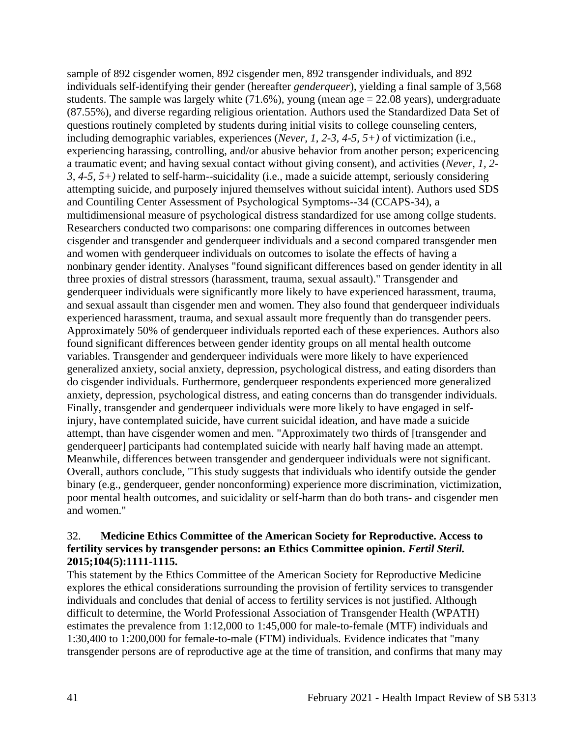sample of 892 cisgender women, 892 cisgender men, 892 transgender individuals, and 892 individuals self-identifying their gender (hereafter *genderqueer*), yielding a final sample of 3,568 students. The sample was largely white  $(71.6\%)$ , young (mean age  $= 22.08$  years), undergraduate (87.55%), and diverse regarding religious orientation. Authors used the Standardized Data Set of questions routinely completed by students during initial visits to college counseling centers, including demographic variables, experiences (*Never, 1, 2-3, 4-5, 5+)* of victimization (i.e., experiencing harassing, controlling, and/or abusive behavior from another person; expericencing a traumatic event; and having sexual contact without giving consent), and activities (*Never, 1, 2- 3, 4-5, 5+)* related to self-harm--suicidality (i.e., made a suicide attempt, seriously considering attempting suicide, and purposely injured themselves without suicidal intent). Authors used SDS and Countiling Center Assessment of Psychological Symptoms--34 (CCAPS-34), a multidimensional measure of psychological distress standardized for use among collge students. Researchers conducted two comparisons: one comparing differences in outcomes between cisgender and transgender and genderqueer individuals and a second compared transgender men and women with genderqueer individuals on outcomes to isolate the effects of having a nonbinary gender identity. Analyses "found significant differences based on gender identity in all three proxies of distral stressors (harassment, trauma, sexual assault)." Transgender and genderqueer individuals were significantly more likely to have experienced harassment, trauma, and sexual assault than cisgender men and women. They also found that genderqueer individuals experienced harassment, trauma, and sexual assault more frequently than do transgender peers. Approximately 50% of genderqueer individuals reported each of these experiences. Authors also found significant differences between gender identity groups on all mental health outcome variables. Transgender and genderqueer individuals were more likely to have experienced generalized anxiety, social anxiety, depression, psychological distress, and eating disorders than do cisgender individuals. Furthermore, genderqueer respondents experienced more generalized anxiety, depression, psychological distress, and eating concerns than do transgender individuals. Finally, transgender and genderqueer individuals were more likely to have engaged in selfinjury, have contemplated suicide, have current suicidal ideation, and have made a suicide attempt, than have cisgender women and men. "Approximately two thirds of [transgender and genderqueer] participants had contemplated suicide with nearly half having made an attempt. Meanwhile, differences between transgender and genderqueer individuals were not significant. Overall, authors conclude, "This study suggests that individuals who identify outside the gender binary (e.g., genderqueer, gender nonconforming) experience more discrimination, victimization, poor mental health outcomes, and suicidality or self-harm than do both trans- and cisgender men and women."

### 32. **Medicine Ethics Committee of the American Society for Reproductive. Access to fertility services by transgender persons: an Ethics Committee opinion.** *Fertil Steril.*  **2015;104(5):1111-1115.**

This statement by the Ethics Committee of the American Society for Reproductive Medicine explores the ethical considerations surrounding the provision of fertility services to transgender individuals and concludes that denial of access to fertility services is not justified. Although difficult to determine, the World Professional Association of Transgender Health (WPATH) estimates the prevalence from 1:12,000 to 1:45,000 for male-to-female (MTF) individuals and 1:30,400 to 1:200,000 for female-to-male (FTM) individuals. Evidence indicates that "many transgender persons are of reproductive age at the time of transition, and confirms that many may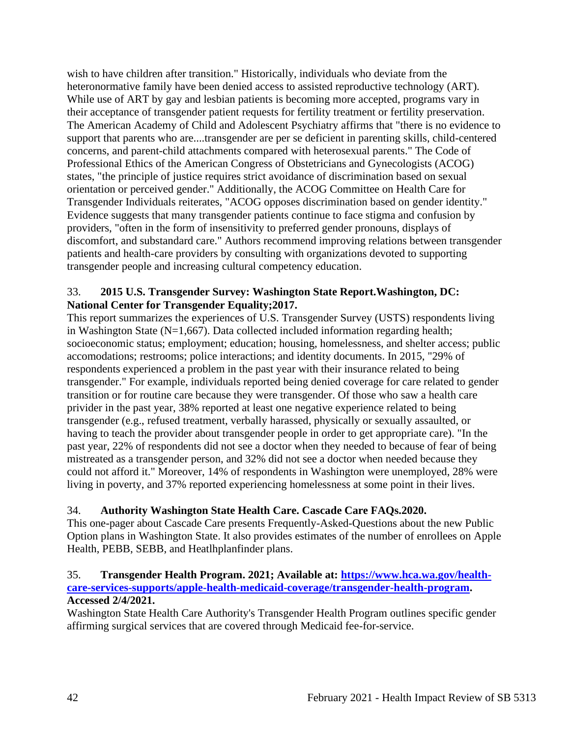wish to have children after transition." Historically, individuals who deviate from the heteronormative family have been denied access to assisted reproductive technology (ART). While use of ART by gay and lesbian patients is becoming more accepted, programs vary in their acceptance of transgender patient requests for fertility treatment or fertility preservation. The American Academy of Child and Adolescent Psychiatry affirms that "there is no evidence to support that parents who are....transgender are per se deficient in parenting skills, child-centered concerns, and parent-child attachments compared with heterosexual parents." The Code of Professional Ethics of the American Congress of Obstetricians and Gynecologists (ACOG) states, "the principle of justice requires strict avoidance of discrimination based on sexual orientation or perceived gender." Additionally, the ACOG Committee on Health Care for Transgender Individuals reiterates, "ACOG opposes discrimination based on gender identity." Evidence suggests that many transgender patients continue to face stigma and confusion by providers, "often in the form of insensitivity to preferred gender pronouns, displays of discomfort, and substandard care." Authors recommend improving relations between transgender patients and health-care providers by consulting with organizations devoted to supporting transgender people and increasing cultural competency education.

## 33. **2015 U.S. Transgender Survey: Washington State Report.Washington, DC: National Center for Transgender Equality;2017.**

This report summarizes the experiences of U.S. Transgender Survey (USTS) respondents living in Washington State ( $N=1,667$ ). Data collected included information regarding health; socioeconomic status; employment; education; housing, homelessness, and shelter access; public accomodations; restrooms; police interactions; and identity documents. In 2015, "29% of respondents experienced a problem in the past year with their insurance related to being transgender." For example, individuals reported being denied coverage for care related to gender transition or for routine care because they were transgender. Of those who saw a health care privider in the past year, 38% reported at least one negative experience related to being transgender (e.g., refused treatment, verbally harassed, physically or sexually assaulted, or having to teach the provider about transgender people in order to get appropriate care). "In the past year, 22% of respondents did not see a doctor when they needed to because of fear of being mistreated as a transgender person, and 32% did not see a doctor when needed because they could not afford it." Moreover, 14% of respondents in Washington were unemployed, 28% were living in poverty, and 37% reported experiencing homelessness at some point in their lives.

# 34. **Authority Washington State Health Care. Cascade Care FAQs.2020.**

This one-pager about Cascade Care presents Frequently-Asked-Questions about the new Public Option plans in Washington State. It also provides estimates of the number of enrollees on Apple Health, PEBB, SEBB, and Heatlhplanfinder plans.

## 35. **Transgender Health Program. 2021; Available at: [https://www.hca.wa.gov/health](https://www.hca.wa.gov/health-care-services-supports/apple-health-medicaid-coverage/transgender-health-program)[care-services-supports/apple-health-medicaid-coverage/transgender-health-program.](https://www.hca.wa.gov/health-care-services-supports/apple-health-medicaid-coverage/transgender-health-program) Accessed 2/4/2021.**

Washington State Health Care Authority's Transgender Health Program outlines specific gender affirming surgical services that are covered through Medicaid fee-for-service.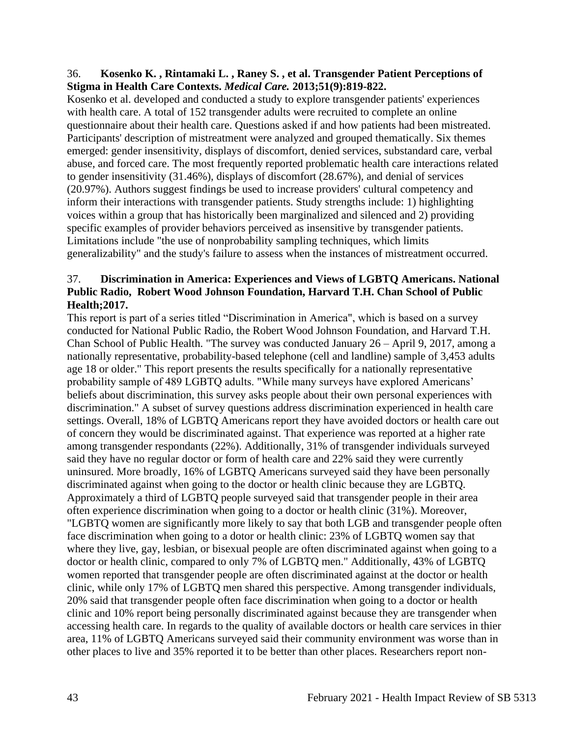### 36. **Kosenko K. , Rintamaki L. , Raney S. , et al. Transgender Patient Perceptions of Stigma in Health Care Contexts.** *Medical Care.* **2013;51(9):819-822.**

Kosenko et al. developed and conducted a study to explore transgender patients' experiences with health care. A total of 152 transgender adults were recruited to complete an online questionnaire about their health care. Questions asked if and how patients had been mistreated. Participants' description of mistreatment were analyzed and grouped thematically. Six themes emerged: gender insensitivity, displays of discomfort, denied services, substandard care, verbal abuse, and forced care. The most frequently reported problematic health care interactions related to gender insensitivity (31.46%), displays of discomfort (28.67%), and denial of services (20.97%). Authors suggest findings be used to increase providers' cultural competency and inform their interactions with transgender patients. Study strengths include: 1) highlighting voices within a group that has historically been marginalized and silenced and 2) providing specific examples of provider behaviors perceived as insensitive by transgender patients. Limitations include "the use of nonprobability sampling techniques, which limits generalizability" and the study's failure to assess when the instances of mistreatment occurred.

## 37. **Discrimination in America: Experiences and Views of LGBTQ Americans. National Public Radio, Robert Wood Johnson Foundation, Harvard T.H. Chan School of Public Health;2017.**

This report is part of a series titled "Discrimination in America", which is based on a survey conducted for National Public Radio, the Robert Wood Johnson Foundation, and Harvard T.H. Chan School of Public Health. "The survey was conducted January 26 – April 9, 2017, among a nationally representative, probability-based telephone (cell and landline) sample of 3,453 adults age 18 or older." This report presents the results specifically for a nationally representative probability sample of 489 LGBTQ adults. "While many surveys have explored Americans' beliefs about discrimination, this survey asks people about their own personal experiences with discrimination." A subset of survey questions address discrimination experienced in health care settings. Overall, 18% of LGBTQ Americans report they have avoided doctors or health care out of concern they would be discriminated against. That experience was reported at a higher rate among transgender respondants (22%). Additionally, 31% of transgender individuals surveyed said they have no regular doctor or form of health care and 22% said they were currently uninsured. More broadly, 16% of LGBTQ Americans surveyed said they have been personally discriminated against when going to the doctor or health clinic because they are LGBTQ. Approximately a third of LGBTQ people surveyed said that transgender people in their area often experience discrimination when going to a doctor or health clinic (31%). Moreover, "LGBTQ women are significantly more likely to say that both LGB and transgender people often face discrimination when going to a dotor or health clinic: 23% of LGBTQ women say that where they live, gay, lesbian, or bisexual people are often discriminated against when going to a doctor or health clinic, compared to only 7% of LGBTQ men." Additionally, 43% of LGBTQ women reported that transgender people are often discriminated against at the doctor or health clinic, while only 17% of LGBTQ men shared this perspective. Among transgender individuals, 20% said that transgender people often face discrimination when going to a doctor or health clinic and 10% report being personally discriminated against because they are transgender when accessing health care. In regards to the quality of available doctors or health care services in thier area, 11% of LGBTQ Americans surveyed said their community environment was worse than in other places to live and 35% reported it to be better than other places. Researchers report non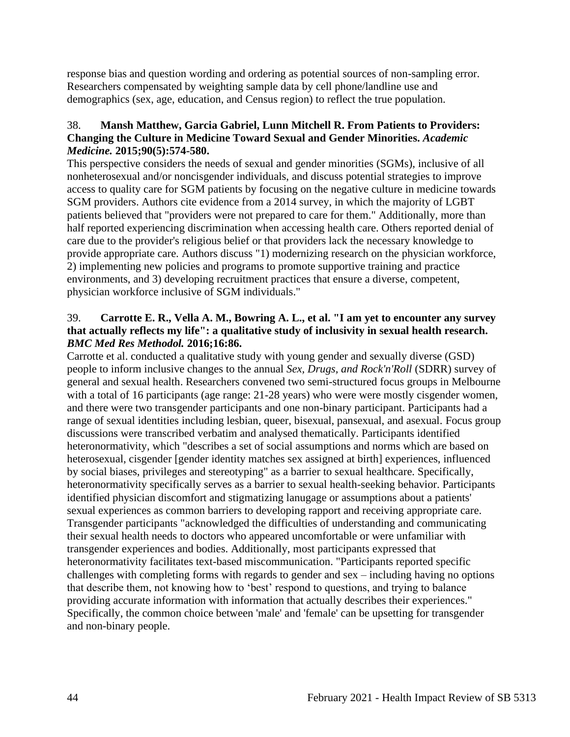response bias and question wording and ordering as potential sources of non-sampling error. Researchers compensated by weighting sample data by cell phone/landline use and demographics (sex, age, education, and Census region) to reflect the true population.

## 38. **Mansh Matthew, Garcia Gabriel, Lunn Mitchell R. From Patients to Providers: Changing the Culture in Medicine Toward Sexual and Gender Minorities.** *Academic Medicine.* **2015;90(5):574-580.**

This perspective considers the needs of sexual and gender minorities (SGMs), inclusive of all nonheterosexual and/or noncisgender individuals, and discuss potential strategies to improve access to quality care for SGM patients by focusing on the negative culture in medicine towards SGM providers. Authors cite evidence from a 2014 survey, in which the majority of LGBT patients believed that "providers were not prepared to care for them." Additionally, more than half reported experiencing discrimination when accessing health care. Others reported denial of care due to the provider's religious belief or that providers lack the necessary knowledge to provide appropriate care. Authors discuss "1) modernizing research on the physician workforce, 2) implementing new policies and programs to promote supportive training and practice environments, and 3) developing recruitment practices that ensure a diverse, competent, physician workforce inclusive of SGM individuals."

## 39. **Carrotte E. R., Vella A. M., Bowring A. L., et al. "I am yet to encounter any survey that actually reflects my life": a qualitative study of inclusivity in sexual health research.**  *BMC Med Res Methodol.* **2016;16:86.**

Carrotte et al. conducted a qualitative study with young gender and sexually diverse (GSD) people to inform inclusive changes to the annual *Sex, Drugs, and Rock'n'Roll* (SDRR) survey of general and sexual health. Researchers convened two semi-structured focus groups in Melbourne with a total of 16 participants (age range: 21-28 years) who were were mostly cisgender women, and there were two transgender participants and one non-binary participant. Participants had a range of sexual identities including lesbian, queer, bisexual, pansexual, and asexual. Focus group discussions were transcribed verbatim and analysed thematically. Participants identified heteronormativity, which "describes a set of social assumptions and norms which are based on heterosexual, cisgender [gender identity matches sex assigned at birth] experiences, influenced by social biases, privileges and stereotyping" as a barrier to sexual healthcare. Specifically, heteronormativity specifically serves as a barrier to sexual health-seeking behavior. Participants identified physician discomfort and stigmatizing lanugage or assumptions about a patients' sexual experiences as common barriers to developing rapport and receiving appropriate care. Transgender participants "acknowledged the difficulties of understanding and communicating their sexual health needs to doctors who appeared uncomfortable or were unfamiliar with transgender experiences and bodies. Additionally, most participants expressed that heteronormativity facilitates text-based miscommunication. "Participants reported specific challenges with completing forms with regards to gender and sex – including having no options that describe them, not knowing how to 'best' respond to questions, and trying to balance providing accurate information with information that actually describes their experiences." Specifically, the common choice between 'male' and 'female' can be upsetting for transgender and non-binary people.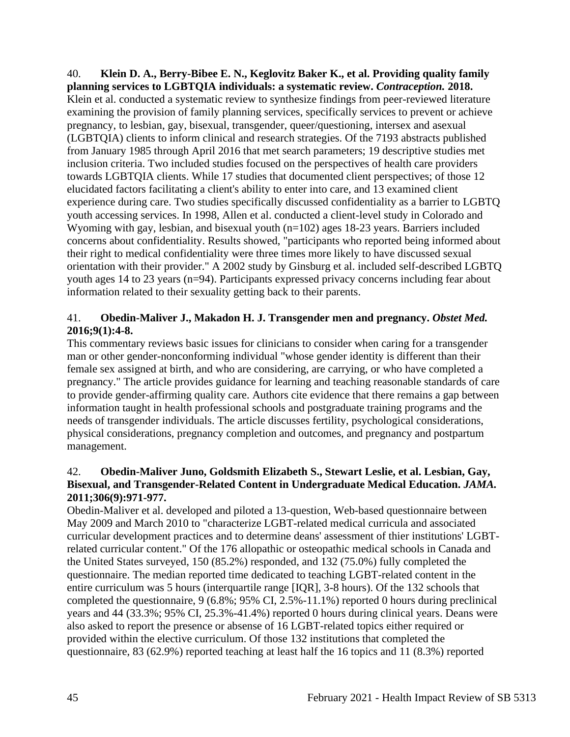40. **Klein D. A., Berry-Bibee E. N., Keglovitz Baker K., et al. Providing quality family planning services to LGBTQIA individuals: a systematic review.** *Contraception.* **2018.** Klein et al. conducted a systematic review to synthesize findings from peer-reviewed literature examining the provision of family planning services, specifically services to prevent or achieve pregnancy, to lesbian, gay, bisexual, transgender, queer/questioning, intersex and asexual (LGBTQIA) clients to inform clinical and research strategies. Of the 7193 abstracts published from January 1985 through April 2016 that met search parameters; 19 descriptive studies met inclusion criteria. Two included studies focused on the perspectives of health care providers towards LGBTQIA clients. While 17 studies that documented client perspectives; of those 12 elucidated factors facilitating a client's ability to enter into care, and 13 examined client experience during care. Two studies specifically discussed confidentiality as a barrier to LGBTQ youth accessing services. In 1998, Allen et al. conducted a client-level study in Colorado and Wyoming with gay, lesbian, and bisexual youth (n=102) ages 18-23 years. Barriers included concerns about confidentiality. Results showed, "participants who reported being informed about their right to medical confidentiality were three times more likely to have discussed sexual orientation with their provider." A 2002 study by Ginsburg et al. included self-described LGBTQ youth ages 14 to 23 years (n=94). Participants expressed privacy concerns including fear about information related to their sexuality getting back to their parents.

## 41. **Obedin-Maliver J., Makadon H. J. Transgender men and pregnancy.** *Obstet Med.*  **2016;9(1):4-8.**

This commentary reviews basic issues for clinicians to consider when caring for a transgender man or other gender-nonconforming individual "whose gender identity is different than their female sex assigned at birth, and who are considering, are carrying, or who have completed a pregnancy." The article provides guidance for learning and teaching reasonable standards of care to provide gender-affirming quality care. Authors cite evidence that there remains a gap between information taught in health professional schools and postgraduate training programs and the needs of transgender individuals. The article discusses fertility, psychological considerations, physical considerations, pregnancy completion and outcomes, and pregnancy and postpartum management.

## 42. **Obedin-Maliver Juno, Goldsmith Elizabeth S., Stewart Leslie, et al. Lesbian, Gay, Bisexual, and Transgender-Related Content in Undergraduate Medical Education.** *JAMA.*  **2011;306(9):971-977.**

Obedin-Maliver et al. developed and piloted a 13-question, Web-based questionnaire between May 2009 and March 2010 to "characterize LGBT-related medical curricula and associated curricular development practices and to determine deans' assessment of thier institutions' LGBTrelated curricular content." Of the 176 allopathic or osteopathic medical schools in Canada and the United States surveyed, 150 (85.2%) responded, and 132 (75.0%) fully completed the questionnaire. The median reported time dedicated to teaching LGBT-related content in the entire curriculum was 5 hours (interquartile range [IQR], 3-8 hours). Of the 132 schools that completed the questionnaire, 9 (6.8%; 95% CI, 2.5%-11.1%) reported 0 hours during preclinical years and 44 (33.3%; 95% CI, 25.3%-41.4%) reported 0 hours during clinical years. Deans were also asked to report the presence or absense of 16 LGBT-related topics either required or provided within the elective curriculum. Of those 132 institutions that completed the questionnaire, 83 (62.9%) reported teaching at least half the 16 topics and 11 (8.3%) reported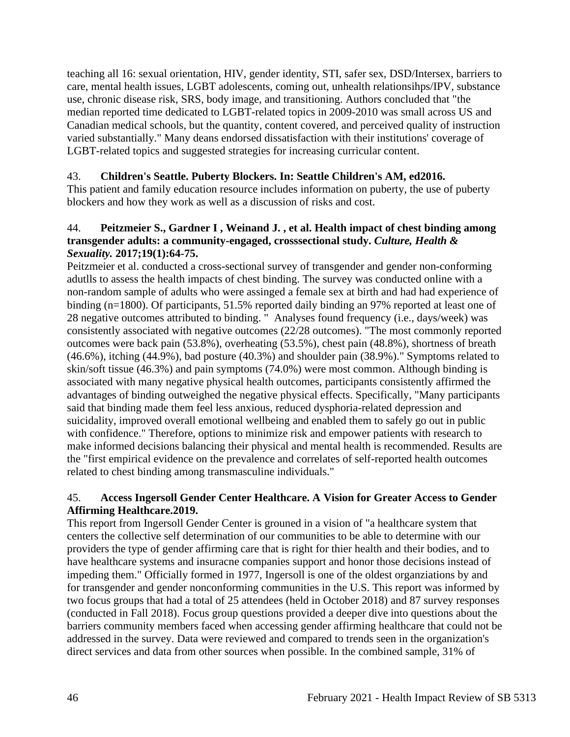teaching all 16: sexual orientation, HIV, gender identity, STI, safer sex, DSD/Intersex, barriers to care, mental health issues, LGBT adolescents, coming out, unhealth relationsihps/IPV, substance use, chronic disease risk, SRS, body image, and transitioning. Authors concluded that "the median reported time dedicated to LGBT-related topics in 2009-2010 was small across US and Canadian medical schools, but the quantity, content covered, and perceived quality of instruction varied substantially." Many deans endorsed dissatisfaction with their institutions' coverage of LGBT-related topics and suggested strategies for increasing curricular content.

## 43. **Children's Seattle. Puberty Blockers. In: Seattle Children's AM, ed2016.**

This patient and family education resource includes information on puberty, the use of puberty blockers and how they work as well as a discussion of risks and cost.

### 44. **Peitzmeier S., Gardner I , Weinand J. , et al. Health impact of chest binding among transgender adults: a community-engaged, crosssectional study.** *Culture, Health & Sexuality.* **2017;19(1):64-75.**

Peitzmeier et al. conducted a cross-sectional survey of transgender and gender non-conforming adutlls to assess the health impacts of chest binding. The survey was conducted online with a non-random sample of adults who were assinged a female sex at birth and had had experience of binding (n=1800). Of participants, 51.5% reported daily binding an 97% reported at least one of 28 negative outcomes attributed to binding. " Analyses found frequency (i.e., days/week) was consistently associated with negative outcomes (22/28 outcomes). "The most commonly reported outcomes were back pain (53.8%), overheating (53.5%), chest pain (48.8%), shortness of breath (46.6%), itching (44.9%), bad posture (40.3%) and shoulder pain (38.9%)." Symptoms related to skin/soft tissue (46.3%) and pain symptoms (74.0%) were most common. Although binding is associated with many negative physical health outcomes, participants consistently affirmed the advantages of binding outweighed the negative physical effects. Specifically, "Many participants said that binding made them feel less anxious, reduced dysphoria-related depression and suicidality, improved overall emotional wellbeing and enabled them to safely go out in public with confidence." Therefore, options to minimize risk and empower patients with research to make informed decisions balancing their physical and mental health is recommended. Results are the "first empirical evidence on the prevalence and correlates of self-reported health outcomes related to chest binding among transmasculine individuals."

### 45. **Access Ingersoll Gender Center Healthcare. A Vision for Greater Access to Gender Affirming Healthcare.2019.**

This report from Ingersoll Gender Center is grouned in a vision of "a healthcare system that centers the collective self determination of our communities to be able to determine with our providers the type of gender affirming care that is right for thier health and their bodies, and to have healthcare systems and insuracne companies support and honor those decisions instead of impeding them." Officially formed in 1977, Ingersoll is one of the oldest organziations by and for transgender and gender nonconforming communities in the U.S. This report was informed by two focus groups that had a total of 25 attendees (held in October 2018) and 87 survey responses (conducted in Fall 2018). Focus group questions provided a deeper dive into questions about the barriers community members faced when accessing gender affirming healthcare that could not be addressed in the survey. Data were reviewed and compared to trends seen in the organization's direct services and data from other sources when possible. In the combined sample, 31% of